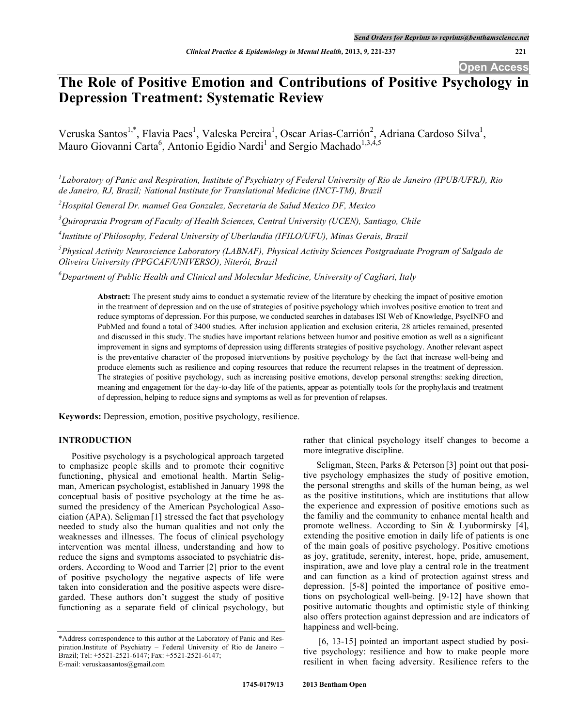**Open Access**

# **The Role of Positive Emotion and Contributions of Positive Psychology in Depression Treatment: Systematic Review**

Veruska Santos<sup>1,\*</sup>, Flavia Paes<sup>1</sup>, Valeska Pereira<sup>1</sup>, Oscar Arias-Carrión<sup>2</sup>, Adriana Cardoso Silva<sup>1</sup>, Mauro Giovanni Carta<sup>6</sup>, Antonio Egidio Nardi<sup>1</sup> and Sergio Machado<sup>1,3,4,5</sup>

 ${}^{l}$ Laboratory of Panic and Respiration, Institute of Psychiatry of Federal University of Rio de Janeiro (IPUB/UFRJ), Rio *de Janeiro, RJ, Brazil; National Institute for Translational Medicine (INCT-TM), Brazil*

*2 Hospital General Dr. manuel Gea Gonzalez, Secretaria de Salud Mexico DF, Mexico*

*3 Quiropraxia Program of Faculty of Health Sciences, Central University (UCEN), Santiago, Chile*

*4 Institute of Philosophy, Federal University of Uberlandia (IFILO/UFU), Minas Gerais, Brazil*

*5 Physical Activity Neuroscience Laboratory (LABNAF), Physical Activity Sciences Postgraduate Program of Salgado de Oliveira University (PPGCAF/UNIVERSO), Niterói, Brazil*

*6 Department of Public Health and Clinical and Molecular Medicine, University of Cagliari, Italy*

**Abstract:** The present study aims to conduct a systematic review of the literature by checking the impact of positive emotion in the treatment of depression and on the use of strategies of positive psychology which involves positive emotion to treat and reduce symptoms of depression. For this purpose, we conducted searches in databases ISI Web of Knowledge, PsycINFO and PubMed and found a total of 3400 studies. After inclusion application and exclusion criteria, 28 articles remained, presented and discussed in this study. The studies have important relations between humor and positive emotion as well as a significant improvement in signs and symptoms of depression using differents strategies of positive psychology. Another relevant aspect is the preventative character of the proposed interventions by positive psychology by the fact that increase well-being and produce elements such as resilience and coping resources that reduce the recurrent relapses in the treatment of depression. The strategies of positive psychology, such as increasing positive emotions, develop personal strengths: seeking direction, meaning and engagement for the day-to-day life of the patients, appear as potentially tools for the prophylaxis and treatment of depression, helping to reduce signs and symptoms as well as for prevention of relapses.

**Keywords:** Depression, emotion, positive psychology, resilience.

### **INTRODUCTION**

Positive psychology is a psychological approach targeted to emphasize people skills and to promote their cognitive functioning, physical and emotional health. Martin Seligman, American psychologist, established in January 1998 the conceptual basis of positive psychology at the time he assumed the presidency of the American Psychological Association (APA). Seligman [1] stressed the fact that psychology needed to study also the human qualities and not only the weaknesses and illnesses. The focus of clinical psychology intervention was mental illness, understanding and how to reduce the signs and symptoms associated to psychiatric disorders. According to Wood and Tarrier [2] prior to the event of positive psychology the negative aspects of life were taken into consideration and the positive aspects were disregarded. These authors don't suggest the study of positive functioning as a separate field of clinical psychology, but rather that clinical psychology itself changes to become a more integrative discipline.

Seligman, Steen, Parks & Peterson [3] point out that positive psychology emphasizes the study of positive emotion, the personal strengths and skills of the human being, as wel as the positive institutions, which are institutions that allow the experience and expression of positive emotions such as the familiy and the community to enhance mental health and promote wellness. According to Sin & Lyubormirsky [4], extending the positive emotion in daily life of patients is one of the main goals of positive psychology. Positive emotions as joy, gratitude, serenity, interest, hope, pride, amusement, inspiration, awe and love play a central role in the treatment and can function as a kind of protection against stress and depression. [5-8] pointed the importance of positive emotions on psychological well-being. [9-12] have shown that positive automatic thoughts and optimistic style of thinking also offers protection against depression and are indicators of happiness and well-being.

[6, 13-15] pointed an important aspect studied by positive psychology: resilience and how to make people more resilient in when facing adversity. Resilience refers to the

<sup>\*</sup>Address correspondence to this author at the Laboratory of Panic and Respiration.Institute of Psychiatry – Federal University of Rio de Janeiro – Brazil; Tel: +5521-2521-6147; Fax: +5521-2521-6147; E-mail: veruskaasantos@gmail.com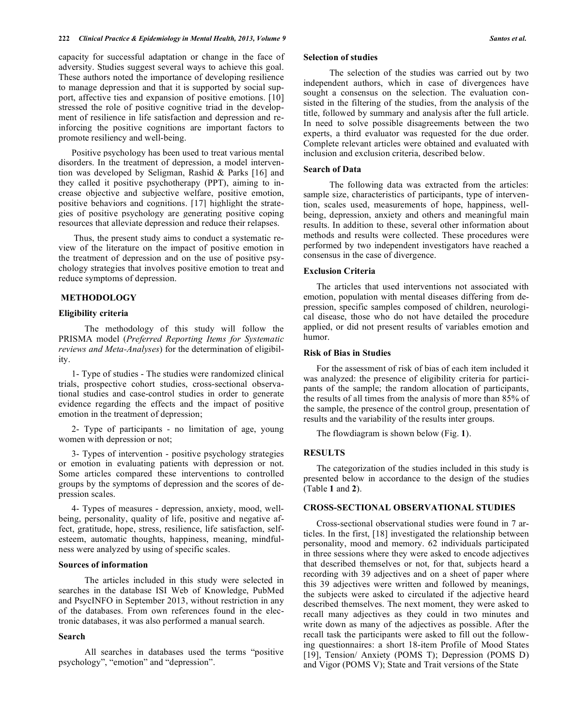### **222** *Clinical Practice & Epidemiology in Mental Health, 2013, Volume 9 Santos et al.*

capacity for successful adaptation or change in the face of adversity. Studies suggest several ways to achieve this goal. These authors noted the importance of developing resilience to manage depression and that it is supported by social support, affective ties and expansion of positive emotions. [10] stressed the role of positive cognitive triad in the development of resilience in life satisfaction and depression and reinforcing the positive cognitions are important factors to promote resiliency and well-being.

Positive psychology has been used to treat various mental disorders. In the treatment of depression, a model intervention was developed by Seligman, Rashid & Parks [16] and they called it positive psychotherapy (PPT), aiming to increase objective and subjective welfare, positive emotion, positive behaviors and cognitions. [17] highlight the strategies of positive psychology are generating positive coping resources that alleviate depression and reduce their relapses.

Thus, the present study aims to conduct a systematic review of the literature on the impact of positive emotion in the treatment of depression and on the use of positive psychology strategies that involves positive emotion to treat and reduce symptoms of depression.

### **METHODOLOGY**

### **Eligibility criteria**

The methodology of this study will follow the PRISMA model (*Preferred Reporting Items for Systematic reviews and Meta-Analyses*) for the determination of eligibility.

1- Type of studies - The studies were randomized clinical trials, prospective cohort studies, cross-sectional observational studies and case-control studies in order to generate evidence regarding the effects and the impact of positive emotion in the treatment of depression;

2- Type of participants - no limitation of age, young women with depression or not;

3- Types of intervention - positive psychology strategies or emotion in evaluating patients with depression or not. Some articles compared these interventions to controlled groups by the symptoms of depression and the scores of depression scales.

4- Types of measures - depression, anxiety, mood, wellbeing, personality, quality of life, positive and negative affect, gratitude, hope, stress, resilience, life satisfaction, selfesteem, automatic thoughts, happiness, meaning, mindfulness were analyzed by using of specific scales.

### **Sources of information**

The articles included in this study were selected in searches in the database ISI Web of Knowledge, PubMed and PsycINFO in September 2013, without restriction in any of the databases. From own references found in the electronic databases, it was also performed a manual search.

### **Search**

All searches in databases used the terms "positive psychology", "emotion" and "depression".

### **Selection of studies**

The selection of the studies was carried out by two independent authors, which in case of divergences have sought a consensus on the selection. The evaluation consisted in the filtering of the studies, from the analysis of the title, followed by summary and analysis after the full article. In need to solve possible disagreements between the two experts, a third evaluator was requested for the due order. Complete relevant articles were obtained and evaluated with inclusion and exclusion criteria, described below.

### **Search of Data**

The following data was extracted from the articles: sample size, characteristics of participants, type of intervention, scales used, measurements of hope, happiness, wellbeing, depression, anxiety and others and meaningful main results. In addition to these, several other information about methods and results were collected. These procedures were performed by two independent investigators have reached a consensus in the case of divergence.

### **Exclusion Criteria**

The articles that used interventions not associated with emotion, population with mental diseases differing from depression, specific samples composed of children, neurological disease, those who do not have detailed the procedure applied, or did not present results of variables emotion and humor.

### **Risk of Bias in Studies**

For the assessment of risk of bias of each item included it was analyzed: the presence of eligibility criteria for participants of the sample; the random allocation of participants, the results of all times from the analysis of more than 85% of the sample, the presence of the control group, presentation of results and the variability of the results inter groups.

The flowdiagram is shown below (Fig. **1**).

### **RESULTS**

The categorization of the studies included in this study is presented below in accordance to the design of the studies (Table **1** and **2**).

### **CROSS-SECTIONAL OBSERVATIONAL STUDIES**

Cross-sectional observational studies were found in 7 articles. In the first, [18] investigated the relationship between personality, mood and memory. 62 individuals participated in three sessions where they were asked to encode adjectives that described themselves or not, for that, subjects heard a recording with 39 adjectives and on a sheet of paper where this 39 adjectives were written and followed by meanings, the subjects were asked to circulated if the adjective heard described themselves. The next moment, they were asked to recall many adjectives as they could in two minutes and write down as many of the adjectives as possible. After the recall task the participants were asked to fill out the following questionnaires: a short 18-item Profile of Mood States [19], Tension/ Anxiety (POMS T); Depression (POMS D) and Vigor (POMS V); State and Trait versions of the State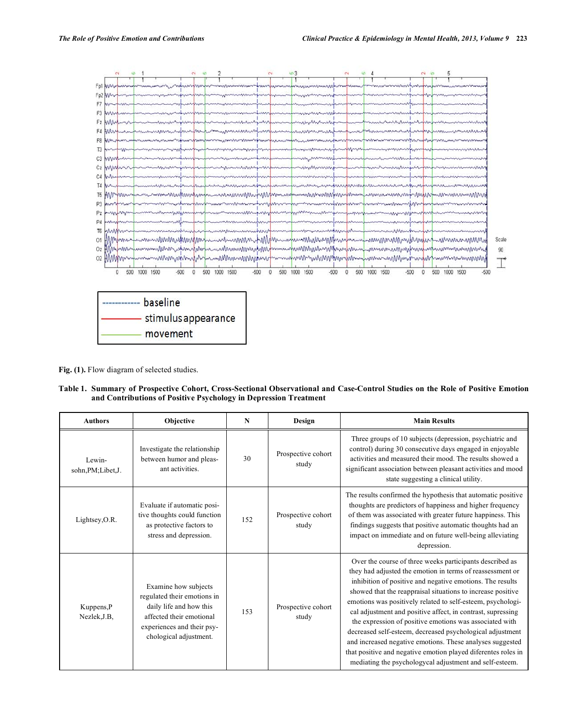



Fig. (1). Flow diagram of selected studies.

**Table 1. Summary of Prospective Cohort, Cross-Sectional Observational and Case-Control Studies on the Role of Positive Emotion and Contributions of Positive Psychology in Depression Treatment**

| <b>Authors</b>                | Objective                                                                                                                                                          | $\mathbf N$ | Design                      | <b>Main Results</b>                                                                                                                                                                                                                                                                                                                                                                                                                                                                                                                                                                                                                                                                              |
|-------------------------------|--------------------------------------------------------------------------------------------------------------------------------------------------------------------|-------------|-----------------------------|--------------------------------------------------------------------------------------------------------------------------------------------------------------------------------------------------------------------------------------------------------------------------------------------------------------------------------------------------------------------------------------------------------------------------------------------------------------------------------------------------------------------------------------------------------------------------------------------------------------------------------------------------------------------------------------------------|
| Lewin-<br>sohn, PM; Libet, J. | Investigate the relationship<br>between humor and pleas-<br>ant activities.                                                                                        | 30          | Prospective cohort<br>study | Three groups of 10 subjects (depression, psychiatric and<br>control) during 30 consecutive days engaged in enjoyable<br>activities and measured their mood. The results showed a<br>significant association between pleasant activities and mood<br>state suggesting a clinical utility.                                                                                                                                                                                                                                                                                                                                                                                                         |
| Lightsey, O.R.                | Evaluate if automatic posi-<br>tive thoughts could function<br>as protective factors to<br>stress and depression.                                                  | 152         | Prospective cohort<br>study | The results confirmed the hypothesis that automatic positive<br>thoughts are predictors of happiness and higher frequency<br>of them was associated with greater future happiness. This<br>findings suggests that positive automatic thoughts had an<br>impact on immediate and on future well-being alleviating<br>depression.                                                                                                                                                                                                                                                                                                                                                                  |
| Kuppens, P<br>Nezlek, J.B.    | Examine how subjects<br>regulated their emotions in<br>daily life and how this<br>affected their emotional<br>experiences and their psy-<br>chological adjustment. | 153         | Prospective cohort<br>study | Over the course of three weeks participants described as<br>they had adjusted the emotion in terms of reassessment or<br>inhibition of positive and negative emotions. The results<br>showed that the reappraisal situations to increase positive<br>emotions was positively related to self-esteem, psychologi-<br>cal adjustment and positive affect, in contrast, supressing<br>the expression of positive emotions was associated with<br>decreased self-esteem, decreased psychological adjustment<br>and increased negative emotions. These analyses suggested<br>that positive and negative emotion played diferentes roles in<br>mediating the psychologycal adjustment and self-esteem. |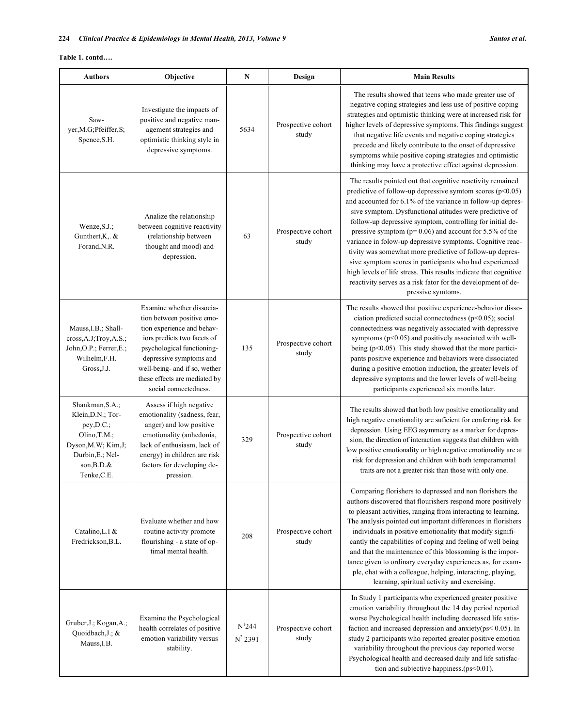### **Table 1. contd….**

| <b>Authors</b>                                                                                                                             | Objective                                                                                                                                                                                                                                                                | ${\bf N}$               | Design                      | <b>Main Results</b>                                                                                                                                                                                                                                                                                                                                                                                                                                                                                                                                                                                                                                                                                                        |
|--------------------------------------------------------------------------------------------------------------------------------------------|--------------------------------------------------------------------------------------------------------------------------------------------------------------------------------------------------------------------------------------------------------------------------|-------------------------|-----------------------------|----------------------------------------------------------------------------------------------------------------------------------------------------------------------------------------------------------------------------------------------------------------------------------------------------------------------------------------------------------------------------------------------------------------------------------------------------------------------------------------------------------------------------------------------------------------------------------------------------------------------------------------------------------------------------------------------------------------------------|
| Saw-<br>yer, M.G; Pfeiffer, S;<br>Spence, S.H.                                                                                             | Investigate the impacts of<br>positive and negative man-<br>agement strategies and<br>optimistic thinking style in<br>depressive symptoms.                                                                                                                               | 5634                    | Prospective cohort<br>study | The results showed that teens who made greater use of<br>negative coping strategies and less use of positive coping<br>strategies and optimistic thinking were at increased risk for<br>higher levels of depressive symptoms. This findings suggest<br>that negative life events and negative coping strategies<br>precede and likely contribute to the onset of depressive<br>symptoms while positive coping strategies and optimistic<br>thinking may have a protective effect against depression.                                                                                                                                                                                                                       |
| Wenze, S.J.;<br>Gunthert, K,. &<br>Forand, N.R.                                                                                            | Analize the relationship<br>between cognitive reactivity<br>(relationship between<br>thought and mood) and<br>depression.                                                                                                                                                | 63                      | Prospective cohort<br>study | The results pointed out that cognitive reactivity remained<br>predictive of follow-up depressive symtom scores $(p<0.05)$<br>and accounted for 6.1% of the variance in follow-up depres-<br>sive symptom. Dysfunctional atitudes were predictive of<br>follow-up depressive symptom, controlling for initial de-<br>pressive symptom ( $p=0.06$ ) and account for 5.5% of the<br>variance in folow-up depressive symptoms. Cognitive reac-<br>tivity was somewhat more predictive of follow-up depres-<br>sive symptom scores in participants who had experienced<br>high levels of life stress. This results indicate that cognitive<br>reactivity serves as a risk fator for the development of de-<br>pressive symtoms. |
| Mauss, I.B.; Shall-<br>cross, A.J; Troy, A.S.;<br>John, O.P.; Ferrer, E.;<br>Wilhelm,F.H.<br>Gross, J.J.                                   | Examine whether dissocia-<br>tion between positive emo-<br>tion experience and behav-<br>iors predicts two facets of<br>psychological functioning-<br>depressive symptoms and<br>well-being- and if so, wether<br>these effects are mediated by<br>social connectedness. | 135                     | Prospective cohort<br>study | The results showed that positive experience-behavior disso-<br>ciation predicted social connectedness (p<0.05); social<br>connectedness was negatively associated with depressive<br>symptoms $(p<0.05)$ and positively associated with well-<br>being ( $p<0.05$ ). This study showed that the more partici-<br>pants positive experience and behaviors were dissociated<br>during a positive emotion induction, the greater levels of<br>depressive symptoms and the lower levels of well-being<br>participants experienced six months later.                                                                                                                                                                            |
| Shankman, S.A.;<br>Klein, D.N.; Tor-<br>pey, D.C.;<br>Olino, T.M.;<br>Dyson, M.W; Kim, J;<br>Durbin, E.; Nel-<br>son, B.D.&<br>Tenke, C.E. | Assess if high negative<br>emotionality (sadness, fear,<br>anger) and low positive<br>emotionality (anhedonia,<br>lack of enthusiasm, lack of<br>energy) in children are risk<br>factors for developing de-<br>pression.                                                 | 329                     | Prospective cohort<br>study | The results showed that both low positive emotionality and<br>high negative emotionality are suficient for confering risk for<br>depression. Using EEG asymmetry as a marker for depres-<br>sion, the direction of interaction suggests that children with<br>low positive emotionality or high negative emotionality are at<br>risk for depression and children with both temperamental<br>traits are not a greater risk than those with only one.                                                                                                                                                                                                                                                                        |
| Catalino, L.I &<br>Fredrickson, B.L.                                                                                                       | Evaluate whether and how<br>routine activity promote<br>flourishing - a state of op-<br>timal mental health.                                                                                                                                                             | 208                     | Prospective cohort<br>study | Comparing florishers to depressed and non florishers the<br>authors discovered that flourishers respond more positively<br>to pleasant activities, ranging from interacting to learning.<br>The analysis pointed out important differences in florishers<br>individuals in positive emotionality that modify signifi-<br>cantly the capabilities of coping and feeling of well being<br>and that the maintenance of this blossoming is the impor-<br>tance given to ordinary everyday experiences as, for exam-<br>ple, chat with a colleague, helping, interacting, playing,<br>learning, spiritual activity and exercising.                                                                                              |
| Gruber, J.; Kogan, A.;<br>Quoidbach, J.; &<br>Mauss, I.B.                                                                                  | Examine the Psychological<br>health correlates of positive<br>emotion variability versus<br>stability.                                                                                                                                                                   | $N^1$ 244<br>$N^2$ 2391 | Prospective cohort<br>study | In Study 1 participants who experienced greater positive<br>emotion variability throughout the 14 day period reported<br>worse Psychological health including decreased life satis-<br>faction and increased depression and anxiety( $ps < 0.05$ ). In<br>study 2 participants who reported greater positive emotion<br>variability throughout the previous day reported worse<br>Psychological health and decreased daily and life satisfac-<br>tion and subjective happiness.(ps<0.01).                                                                                                                                                                                                                                  |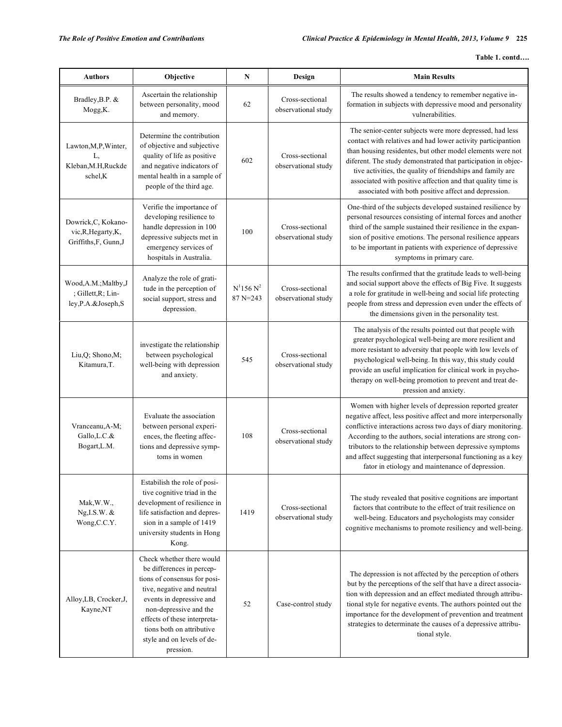**Table 1. contd….**

| <b>Authors</b>                                                      | Objective                                                                                                                                                                                                                                                                          | N                               | Design                                 | <b>Main Results</b>                                                                                                                                                                                                                                                                                                                                                                                                                          |
|---------------------------------------------------------------------|------------------------------------------------------------------------------------------------------------------------------------------------------------------------------------------------------------------------------------------------------------------------------------|---------------------------------|----------------------------------------|----------------------------------------------------------------------------------------------------------------------------------------------------------------------------------------------------------------------------------------------------------------------------------------------------------------------------------------------------------------------------------------------------------------------------------------------|
| Bradley, B.P. &<br>Mogg, K.                                         | Ascertain the relationship<br>between personality, mood<br>and memory.                                                                                                                                                                                                             | 62                              | Cross-sectional<br>observational study | The results showed a tendency to remember negative in-<br>formation in subjects with depressive mood and personality<br>vulnerabilities.                                                                                                                                                                                                                                                                                                     |
| Lawton, M, P, Winter,<br>L,<br>Kleban, M.H, Ruckde<br>schel,K       | Determine the contribution<br>of objective and subjective<br>quality of life as positive<br>and negative indicators of<br>mental health in a sample of<br>people of the third age.                                                                                                 | 602                             | Cross-sectional<br>observational study | The senior-center subjects were more depressed, had less<br>contact with relatives and had lower activity participantion<br>than housing residentes, but other model elements were not<br>diferent. The study demonstrated that participation in objec-<br>tive activities, the quality of friendships and family are<br>associated with positive affection and that quality time is<br>associated with both positive affect and depression. |
| Dowrick, C, Kokano-<br>vic, R, Hegarty, K,<br>Griffiths, F, Gunn, J | Verifie the importance of<br>developing resilience to<br>handle depression in 100<br>depressive subjects met in<br>emergency services of<br>hospitals in Australia.                                                                                                                | 100                             | Cross-sectional<br>observational study | One-third of the subjects developed sustained resilience by<br>personal resources consisting of internal forces and another<br>third of the sample sustained their resilience in the expan-<br>sion of positive emotions. The personal resilience appears<br>to be important in patients with experience of depressive<br>symptoms in primary care.                                                                                          |
| Wood, A.M.; Maltby, J<br>; Gillett, R; Lin-<br>ley, P.A.&Joseph, S  | Analyze the role of grati-<br>tude in the perception of<br>social support, stress and<br>depression.                                                                                                                                                                               | $N^1$ 156 $N^2$<br>$87 N = 243$ | Cross-sectional<br>observational study | The results confirmed that the gratitude leads to well-being<br>and social support above the effects of Big Five. It suggests<br>a role for gratitude in well-being and social life protecting<br>people from stress and depression even under the effects of<br>the dimensions given in the personality test.                                                                                                                               |
| Liu, Q; Shono, M;<br>Kitamura, T.                                   | investigate the relationship<br>between psychological<br>well-being with depression<br>and anxiety.                                                                                                                                                                                | 545                             | Cross-sectional<br>observational study | The analysis of the results pointed out that people with<br>greater psychological well-being are more resilient and<br>more resistant to adversity that people with low levels of<br>psychological well-being. In this way, this study could<br>provide an useful implication for clinical work in psycho-<br>therapy on well-being promotion to prevent and treat de-<br>pression and anxiety.                                              |
| Vranceanu, A-M;<br>Gallo, L.C.&<br>Bogart, L.M.                     | Evaluate the association<br>between personal experi-<br>ences, the fleeting affec-<br>tions and depressive symp-<br>toms in women                                                                                                                                                  | 108                             | Cross-sectional<br>observational study | Women with higher levels of depression reported greater<br>negative affect, less positive affect and more interpersonally<br>conflictive interactions across two days of diary monitoring.<br>According to the authors, social interations are strong con-<br>tributors to the relationship between depressive symptoms<br>and affect suggesting that interpersonal functioning as a key<br>fator in etiology and maintenance of depression. |
| Mak, W.W.,<br>Ng, I.S.W. &<br>Wong, C.C.Y.                          | Estabilish the role of posi-<br>tive cognitive triad in the<br>development of resilience in<br>life satisfaction and depres-<br>sion in a sample of 1419<br>university students in Hong<br>Kong.                                                                                   | 1419                            | Cross-sectional<br>observational study | The study revealed that positive cognitions are important<br>factors that contribute to the effect of trait resilience on<br>well-being. Educators and psychologists may consider<br>cognitive mechanisms to promote resiliency and well-being.                                                                                                                                                                                              |
| Alloy, LB, Crocker, J,<br>Kayne,NT                                  | Check whether there would<br>be differences in percep-<br>tions of consensus for posi-<br>tive, negative and neutral<br>events in depressive and<br>non-depressive and the<br>effects of these interpreta-<br>tions both on attributive<br>style and on levels of de-<br>pression. | 52                              | Case-control study                     | The depression is not affected by the perception of others<br>but by the perceptions of the self that have a direct associa-<br>tion with depression and an effect mediated through attribu-<br>tional style for negative events. The authors pointed out the<br>importance for the development of prevention and treatment<br>strategies to determinate the causes of a depressive attribu-<br>tional style.                                |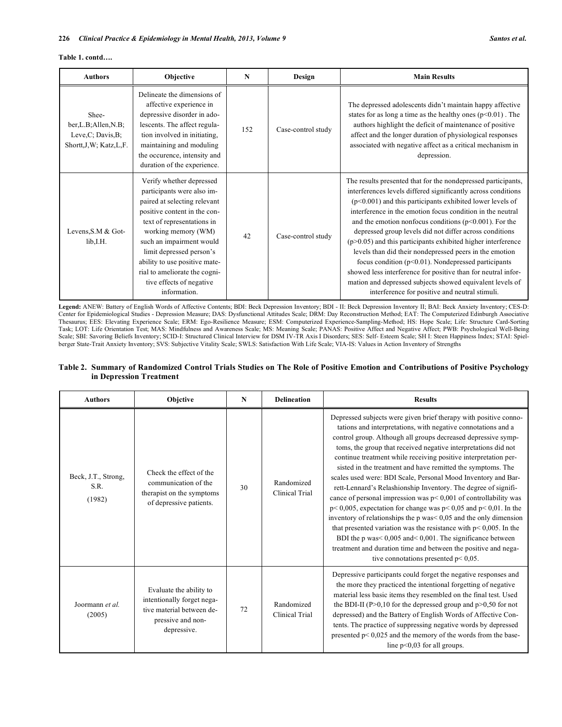### **Table 1. contd….**

| <b>Authors</b>                                                                          | Objective                                                                                                                                                                                                                                                                                                                                         | N   | Design             | <b>Main Results</b>                                                                                                                                                                                                                                                                                                                                                                                                                                                                                                                                                                                                                                                                                                                                          |
|-----------------------------------------------------------------------------------------|---------------------------------------------------------------------------------------------------------------------------------------------------------------------------------------------------------------------------------------------------------------------------------------------------------------------------------------------------|-----|--------------------|--------------------------------------------------------------------------------------------------------------------------------------------------------------------------------------------------------------------------------------------------------------------------------------------------------------------------------------------------------------------------------------------------------------------------------------------------------------------------------------------------------------------------------------------------------------------------------------------------------------------------------------------------------------------------------------------------------------------------------------------------------------|
| Shee-<br>ber, L.B; Allen, N.B;<br>Leve, $C$ ; Davis, $B$ ;<br>Shortt, J, W; Katz, L, F. | Delineate the dimensions of<br>affective experience in<br>depressive disorder in ado-<br>lescents. The affect regula-<br>tion involved in initiating,<br>maintaining and moduling<br>the occurence, intensity and<br>duration of the experience.                                                                                                  | 152 | Case-control study | The depressed adolescents didn't maintain happy affective<br>states for as long a time as the healthy ones $(p<0.01)$ . The<br>authors highlight the deficit of maintenance of positive<br>affect and the longer duration of physiological responses<br>associated with negative affect as a critical mechanism in<br>depression.                                                                                                                                                                                                                                                                                                                                                                                                                            |
| Levens, S.M & Got-<br>lib,I.H.                                                          | Verify whether depressed<br>participants were also im-<br>paired at selecting relevant<br>positive content in the con-<br>text of representations in<br>working memory (WM)<br>such an impairment would<br>limit depressed person's<br>ability to use positive mate-<br>rial to ameliorate the cogni-<br>tive effects of negative<br>information. | 42  | Case-control study | The results presented that for the nondepressed participants,<br>interferences levels differed significantly across conditions<br>$(p<0.001)$ and this participants exhibited lower levels of<br>interference in the emotion focus condition in the neutral<br>and the emotion nonfocus conditions ( $p<0.001$ ). For the<br>depressed group levels did not differ across conditions<br>$(p>0.05)$ and this participants exhibited higher interference<br>levels than did their nondepressed peers in the emotion<br>focus condition ( $p<0.01$ ). Nondepressed participants<br>showed less interference for positive than for neutral infor-<br>mation and depressed subjects showed equivalent levels of<br>interference for positive and neutral stimuli. |

**Legend:** ANEW: Battery of English Words of Affective Contents; BDI: Beck Depression Inventory; BDI - II: Beck Depression Inventory II; BAI: Beck Anxiety Inventory; CES-D: Center for Epidemiological Studies - Depression Measure; DAS: Dysfunctional Attitudes Scale; DRM: Day Reconstruction Method; EAT: The Computerized Edinburgh Associative Thesaurus; EES: Elevating Experience Scale; ERM: Ego-Resilience Measure; ESM: Computerized Experience-Sampling-Method; HS: Hope Scale; Life: Structure Card-Sorting Task; LOT: Life Orientation Test; MAS: Mindfulness and Awareness Scale; MS: Meaning Scale; PANAS: Positive Affect and Negative Affect; PWB: Psychological Well-Being Scale; SBI: Savoring Beliefs Inventory; SCID-I: Structured Clinical Interview for DSM IV-TR Axis I Disorders; SES: Self- Esteem Scale; SH I: Steen Happiness Index; STAI: Spielberger State-Trait Anxiety Inventory; SVS: Subjective Vitality Scale; SWLS: Satisfaction With Life Scale; VIA-IS: Values in Action Inventory of Strengths

### Table 2. Summary of Randomized Control Trials Studies on The Role of Positive Emotion and Contributions of Positive Psychology **in Depression Treatment**

| <b>Authors</b>                        | Objetive                                                                                                               | $\mathbf N$ | <b>Delineation</b>           | <b>Results</b>                                                                                                                                                                                                                                                                                                                                                                                                                                                                                                                                                                                                                                                                                                                                                                                                                                                                                                                                                                                                               |
|---------------------------------------|------------------------------------------------------------------------------------------------------------------------|-------------|------------------------------|------------------------------------------------------------------------------------------------------------------------------------------------------------------------------------------------------------------------------------------------------------------------------------------------------------------------------------------------------------------------------------------------------------------------------------------------------------------------------------------------------------------------------------------------------------------------------------------------------------------------------------------------------------------------------------------------------------------------------------------------------------------------------------------------------------------------------------------------------------------------------------------------------------------------------------------------------------------------------------------------------------------------------|
| Beck, J.T., Strong,<br>S.R.<br>(1982) | Check the effect of the<br>communication of the<br>therapist on the symptoms<br>of depressive patients.                | 30          | Randomized<br>Clinical Trial | Depressed subjects were given brief therapy with positive conno-<br>tations and interpretations, with negative connotations and a<br>control group. Although all groups decreased depressive symp-<br>toms, the group that received negative interpretations did not<br>continue treatment while receiving positive interpretation per-<br>sisted in the treatment and have remitted the symptoms. The<br>scales used were: BDI Scale, Personal Mood Inventory and Bar-<br>rett-Lennard's Relashionship Inventory. The degree of signifi-<br>cance of personal impression was $p < 0.001$ of controllability was<br>$p$ < 0,005, expectation for change was $p$ < 0,05 and $p$ < 0,01. In the<br>inventory of relationships the $p$ was $0.05$ and the only dimension<br>that presented variation was the resistance with $p < 0.005$ . In the<br>BDI the p was $0.005$ and $0.001$ . The significance between<br>treatment and duration time and between the positive and nega-<br>tive connotations presented $p < 0.05$ . |
| Joormann et al.<br>(2005)             | Evaluate the ability to<br>intentionally forget nega-<br>tive material between de-<br>pressive and non-<br>depressive. | 72          | Randomized<br>Clinical Trial | Depressive participants could forget the negative responses and<br>the more they practiced the intentional forgetting of negative<br>material less basic items they resembled on the final test. Used<br>the BDI-II (P>0,10 for the depressed group and $p>0,50$ for not<br>depressed) and the Battery of English Words of Affective Con-<br>tents. The practice of suppressing negative words by depressed<br>presented $p < 0.025$ and the memory of the words from the base-<br>line $p<0.03$ for all groups.                                                                                                                                                                                                                                                                                                                                                                                                                                                                                                             |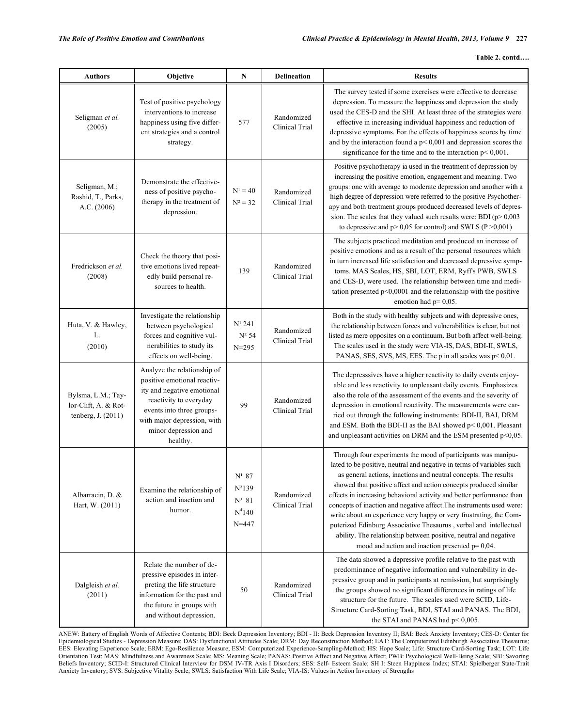**Table 2. contd….**

| <b>Authors</b>                                                   | Objetive                                                                                                                                                                                                           | ${\bf N}$                                                                       | <b>Delineation</b>           | <b>Results</b>                                                                                                                                                                                                                                                                                                                                                                                                                                                                                                                                                                                                                                                                                     |
|------------------------------------------------------------------|--------------------------------------------------------------------------------------------------------------------------------------------------------------------------------------------------------------------|---------------------------------------------------------------------------------|------------------------------|----------------------------------------------------------------------------------------------------------------------------------------------------------------------------------------------------------------------------------------------------------------------------------------------------------------------------------------------------------------------------------------------------------------------------------------------------------------------------------------------------------------------------------------------------------------------------------------------------------------------------------------------------------------------------------------------------|
| Seligman et al.<br>(2005)                                        | Test of positive psychology<br>interventions to increase<br>happiness using five differ-<br>ent strategies and a control<br>strategy.                                                                              | 577                                                                             | Randomized<br>Clinical Trial | The survey tested if some exercises were effective to decrease<br>depression. To measure the happiness and depression the study<br>used the CES-D and the SHI. At least three of the strategies were<br>effective in increasing individual happiness and reduction of<br>depressive symptoms. For the effects of happiness scores by time<br>and by the interaction found a $p < 0,001$ and depression scores the<br>significance for the time and to the interaction $p < 0.001$ .                                                                                                                                                                                                                |
| Seligman, M.;<br>Rashid, T., Parks,<br>A.C. (2006)               | Demonstrate the effective-<br>ness of positive psycho-<br>therapy in the treatment of<br>depression.                                                                                                               | $N^1 = 40$<br>$N^2 = 32$                                                        | Randomized<br>Clinical Trial | Positive psychotherapy ia used in the treatment of depression by<br>increasing the positive emotion, engagement and meaning. Two<br>groups: one with average to moderate depression and another with a<br>high degree of depression were referred to the positive Psychother-<br>apy and both treatment groups produced decreased levels of depres-<br>sion. The scales that they valued such results were: BDI ( $p > 0.003$<br>to depressive and $p > 0.05$ for control) and SWLS (P $> 0.001$ )                                                                                                                                                                                                 |
| Fredrickson et al.<br>(2008)                                     | Check the theory that posi-<br>tive emotions lived repeat-<br>edly build personal re-<br>sources to health.                                                                                                        | 139                                                                             | Randomized<br>Clinical Trial | The subjects practiced meditation and produced an increase of<br>positive emotions and as a result of the personal resources which<br>in turn increased life satisfaction and decreased depressive symp-<br>toms. MAS Scales, HS, SBI, LOT, ERM, Ryff's PWB, SWLS<br>and CES-D, were used. The relationship between time and medi-<br>tation presented $p<0,0001$ and the relationship with the positive<br>emotion had $p=0,05$ .                                                                                                                                                                                                                                                                 |
| Huta, V. & Hawley,<br>L.<br>(2010)                               | Investigate the relationship<br>between psychological<br>forces and cognitive vul-<br>nerabilities to study its<br>effects on well-being.                                                                          | $N^1 241$<br>$N^2$ 54<br>$N = 295$                                              | Randomized<br>Clinical Trial | Both in the study with healthy subjects and with depressive ones,<br>the relationship between forces and vulnerabilities is clear, but not<br>listed as mere opposites on a continuum. But both affect well-being<br>The scales used in the study were VIA-IS, DAS, BDI-II, SWLS,<br>PANAS, SES, SVS, MS, EES. The p in all scales was p< 0,01.                                                                                                                                                                                                                                                                                                                                                    |
| Bylsma, L.M.; Tay-<br>lor-Clift, A. & Rot-<br>tenberg, J. (2011) | Analyze the relationship of<br>positive emotional reactiv-<br>ity and negative emotional<br>reactivity to everyday<br>events into three groups-<br>with major depression, with<br>minor depression and<br>healthy. | 99                                                                              | Randomized<br>Clinical Trial | The depresssives have a higher reactivity to daily events enjoy-<br>able and less reactivity to unpleasant daily events. Emphasizes<br>also the role of the assessment of the events and the severity of<br>depression in emotional reactivity. The measurements were car-<br>ried out through the following instruments: BDI-II, BAI, DRM<br>and ESM. Both the BDI-II as the BAI showed $p < 0.001$ . Pleasant<br>and unpleasant activities on DRM and the ESM presented $p<0.05$ .                                                                                                                                                                                                               |
| Albarracin, D. &<br>Hart, W. (2011)                              | Examine the relationship of<br>action and inaction and<br>humor.                                                                                                                                                   | $\mathrm{N^{1}}$ 87<br>$N^2$ 139<br>$\mathbf{N}^3$ 81<br>$N^4$ 140<br>$N = 447$ | Randomized<br>Clinical Trial | Through four experiments the mood of participants was manipu-<br>lated to be positive, neutral and negative in terms of variables such<br>as general actions, inactions and neutral concepts. The results<br>showed that positive affect and action concepts produced similar<br>effects in increasing behavioral activity and better performance than<br>concepts of inaction and negative affect. The instruments used were:<br>write about an experience very happy or very frustrating, the Com-<br>puterized Edinburg Associative Thesaurus, verbal and intellectual<br>ability. The relationship between positive, neutral and negative<br>mood and action and inaction presented $p=0.04$ . |
| Dalgleish et al.<br>(2011)                                       | Relate the number of de-<br>pressive episodes in inter-<br>preting the life structure<br>information for the past and<br>the future in groups with<br>and without depression.                                      | 50                                                                              | Randomized<br>Clinical Trial | The data showed a depressive profile relative to the past with<br>predominance of negative information and vulnerability in de-<br>pressive group and in participants at remission, but surprisingly<br>the groups showed no significant differences in ratings of life<br>structure for the future. The scales used were SCID, Life-<br>Structure Card-Sorting Task, BDI, STAI and PANAS. The BDI,<br>the STAI and PANAS had $p < 0,005$ .                                                                                                                                                                                                                                                        |

ANEW: Battery of English Words of Affective Contents; BDI: Beck Depression Inventory; BDI - II: Beck Depression Inventory II; BAI: Beck Anxiety Inventory; CES-D: Center for Epidemiological Studies - Depression Measure; DAS: Dysfunctional Attitudes Scale; DRM: Day Reconstruction Method; EAT: The Computerized Edinburgh Associative Thesaurus; EES: Elevating Experience Scale; ERM: Ego-Resilience Measure; ESM: Computerized Experience-Sampling-Method; HS: Hope Scale; Life: Structure Card-Sorting Task; LOT: Life Orientation Test; MAS: Mindfulness and Awareness Scale; MS: Meaning Scale; PANAS: Positive Affect and Negative Affect; PWB: Psychological Well-Being Scale; SBI: Savoring Beliefs Inventory; SCID-I: Structured Clinical Interview for DSM IV-TR Axis I Disorders; SES: Self- Esteem Scale; SH I: Steen Happiness Index; STAI: Spielberger State-Trait Anxiety Inventory; SVS: Subjective Vitality Scale; SWLS: Satisfaction With Life Scale; VIA-IS: Values in Action Inventory of Strengths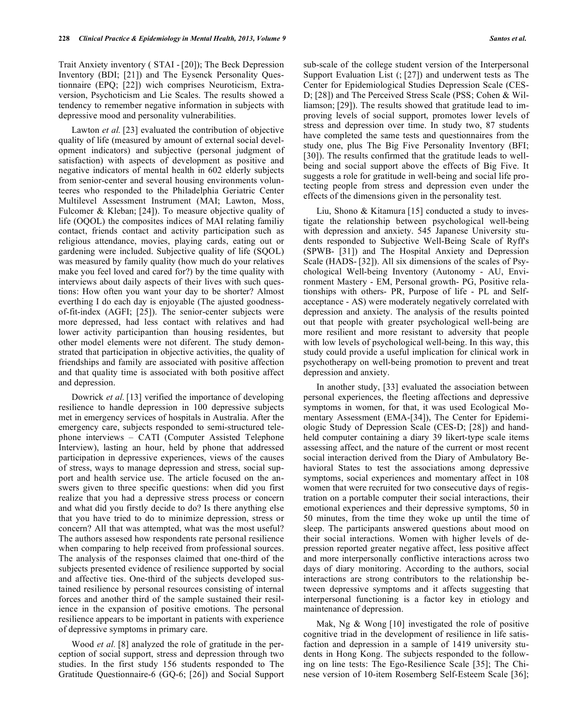Trait Anxiety inventory ( STAI - [20]); The Beck Depression Inventory (BDI; [21]) and The Eysenck Personality Questionnaire (EPQ; [22]) wich comprises Neuroticism, Extraversion, Psychoticism and Lie Scales. The results showed a tendency to remember negative information in subjects with depressive mood and personality vulnerabilities.

Lawton *et al.* [23] evaluated the contribution of objective quality of life (measured by amount of external social development indicators) and subjective (personal judgment of satisfaction) with aspects of development as positive and negative indicators of mental health in 602 elderly subjects from senior-center and several housing environments volunteeres who responded to the Philadelphia Geriatric Center Multilevel Assessment Instrument (MAI; Lawton, Moss, Fulcomer & Kleban; [24]). To measure objective quality of life (OQOL) the composites indices of MAI relating familiy contact, friends contact and activity participation such as religious attendance, movies, playing cards, eating out or gardening were included. Subjective quality of life (SQOL) was measured by family quality (how much do your relatives make you feel loved and cared for?) by the time quality with interviews about daily aspects of their lives with such questions: How often you want your day to be shorter? Almost everthing I do each day is enjoyable (The ajusted goodnessof-fit-index (AGFI; [25]). The senior-center subjects were more depressed, had less contact with relatives and had lower activity participantion than housing residentes, but other model elements were not diferent. The study demonstrated that participation in objective activities, the quality of friendships and family are associated with positive affection and that quality time is associated with both positive affect and depression.

Dowrick *et al.* [13] verified the importance of developing resilience to handle depression in 100 depressive subjects met in emergency services of hospitals in Australia. After the emergency care, subjects responded to semi-structured telephone interviews – CATI (Computer Assisted Telephone Interview), lasting an hour, held by phone that addressed participation in depressive experiences, views of the causes of stress, ways to manage depression and stress, social support and health service use. The article focused on the answers given to three specific questions: when did you first realize that you had a depressive stress process or concern and what did you firstly decide to do? Is there anything else that you have tried to do to minimize depression, stress or concern? All that was attempted, what was the most useful? The authors assesed how respondents rate personal resilience when comparing to help received from professional sources. The analysis of the responses claimed that one-third of the subjects presented evidence of resilience supported by social and affective ties. One-third of the subjects developed sustained resilience by personal resources consisting of internal forces and another third of the sample sustained their resilience in the expansion of positive emotions. The personal resilience appears to be important in patients with experience of depressive symptoms in primary care.

Wood *et al.* [8] analyzed the role of gratitude in the perception of social support, stress and depression through two studies. In the first study 156 students responded to The Gratitude Questionnaire-6 (GQ-6; [26]) and Social Support sub-scale of the college student version of the Interpersonal Support Evaluation List (; [27]) and underwent tests as The Center for Epidemiological Studies Depression Scale (CES-D; [28]) and The Perceived Stress Scale (PSS; Cohen & Williamson; [29]). The results showed that gratitude lead to improving levels of social support, promotes lower levels of stress and depression over time. In study two, 87 students have completed the same tests and questionnaires from the study one, plus The Big Five Personality Inventory (BFI; [30]). The results confirmed that the gratitude leads to wellbeing and social support above the effects of Big Five. It suggests a role for gratitude in well-being and social life protecting people from stress and depression even under the effects of the dimensions given in the personality test.

Liu, Shono & Kitamura [15] conducted a study to investigate the relationship between psychological well-being with depression and anxiety. 545 Japanese University students responded to Subjective Well-Being Scale of Ryff's (SPWB- [31]) and The Hospital Anxiety and Depression Scale (HADS- [32]). All six dimensions of the scales of Psychological Well-being Inventory (Autonomy - AU, Environment Mastery - EM, Personal growth- PG, Positive relationships with others- PR, Purpose of life - PL and Selfacceptance - AS) were moderately negatively correlated with depression and anxiety. The analysis of the results pointed out that people with greater psychological well-being are more resilient and more resistant to adversity that people with low levels of psychological well-being. In this way, this study could provide a useful implication for clinical work in psychotherapy on well-being promotion to prevent and treat depression and anxiety.

In another study, [33] evaluated the association between personal experiences, the fleeting affections and depressive symptoms in women, for that, it was used Ecological Momentary Assessment (EMA-[34]), The Center for Epidemiologic Study of Depression Scale (CES-D; [28]) and handheld computer containing a diary 39 likert-type scale items assessing affect, and the nature of the current or most recent social interaction derived from the Diary of Ambulatory Behavioral States to test the associations among depressive symptoms, social experiences and momentary affect in 108 women that were recruited for two consecutive days of registration on a portable computer their social interactions, their emotional experiences and their depressive symptoms, 50 in 50 minutes, from the time they woke up until the time of sleep. The participants answered questions about mood on their social interactions. Women with higher levels of depression reported greater negative affect, less positive affect and more interpersonally conflictive interactions across two days of diary monitoring. According to the authors, social interactions are strong contributors to the relationship between depressive symptoms and it affects suggesting that interpersonal functioning is a factor key in etiology and maintenance of depression.

Mak, Ng & Wong [10] investigated the role of positive cognitive triad in the development of resilience in life satisfaction and depression in a sample of 1419 university students in Hong Kong. The subjects responded to the following on line tests: The Ego-Resilience Scale [35]; The Chinese version of 10-item Rosemberg Self-Esteem Scale [36];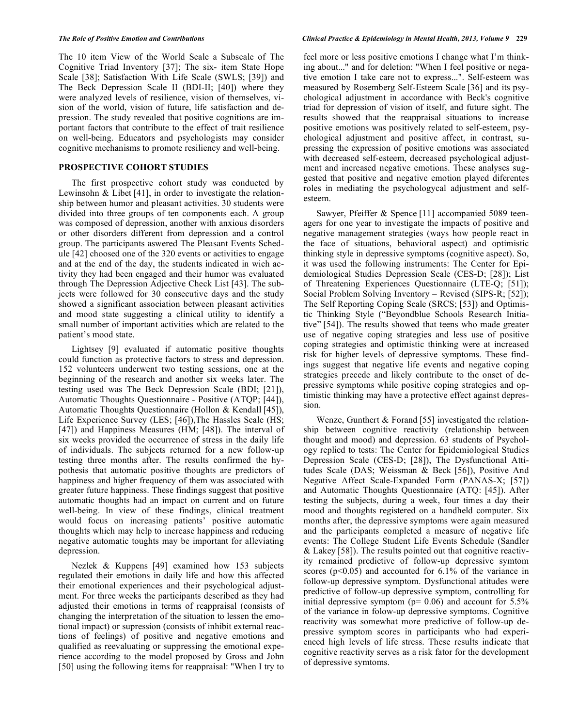The 10 item View of the World Scale a Subscale of The Cognitive Triad Inventory [37]; The six- item State Hope Scale [38]; Satisfaction With Life Scale (SWLS; [39]) and The Beck Depression Scale II (BDI-II; [40]) where they were analyzed levels of resilience, vision of themselves, vision of the world, vision of future, life satisfaction and depression. The study revealed that positive cognitions are important factors that contribute to the effect of trait resilience on well-being. Educators and psychologists may consider cognitive mechanisms to promote resiliency and well-being.

### **PROSPECTIVE COHORT STUDIES**

The first prospective cohort study was conducted by Lewinsohn & Libet [41], in order to investigate the relationship between humor and pleasant activities. 30 students were divided into three groups of ten components each. A group was composed of depression, another with anxious disorders or other disorders different from depression and a control group. The participants aswered The Pleasant Events Schedule [42] choosed one of the 320 events or activities to engage and at the end of the day, the students indicated in wich activity they had been engaged and their humor was evaluated through The Depression Adjective Check List [43]. The subjects were followed for 30 consecutive days and the study showed a significant association between pleasant activities and mood state suggesting a clinical utility to identify a small number of important activities which are related to the patient's mood state.

Lightsey [9] evaluated if automatic positive thoughts could function as protective factors to stress and depression. 152 volunteers underwent two testing sessions, one at the beginning of the research and another six weeks later. The testing used was The Beck Depression Scale (BDI; [21]), Automatic Thoughts Questionnaire - Positive (ATQP; [44]), Automatic Thoughts Questionnaire (Hollon & Kendall [45]), Life Experience Survey (LES; [46]),The Hassles Scale (HS; [47]) and Happiness Measures (HM; [48]). The interval of six weeks provided the occurrence of stress in the daily life of individuals. The subjects returned for a new follow-up testing three months after. The results confirmed the hypothesis that automatic positive thoughts are predictors of happiness and higher frequency of them was associated with greater future happiness. These findings suggest that positive automatic thoughts had an impact on current and on future well-being. In view of these findings, clinical treatment would focus on increasing patients' positive automatic thoughts which may help to increase happiness and reducing negative automatic toughts may be important for alleviating depression.

Nezlek & Kuppens [49] examined how 153 subjects regulated their emotions in daily life and how this affected their emotional experiences and their psychological adjustment. For three weeks the participants described as they had adjusted their emotions in terms of reappraisal (consists of changing the interpretation of the situation to lessen the emotional impact) or supression (consists of inhibit external reactions of feelings) of positive and negative emotions and qualified as reevaluating or suppressing the emotional experience according to the model proposed by Gross and John [50] using the following items for reappraisal: "When I try to

feel more or less positive emotions I change what I'm thinking about..." and for deletion: "When I feel positive or negative emotion I take care not to express...". Self-esteem was measured by Rosemberg Self-Esteem Scale [36] and its psychological adjustment in accordance with Beck's cognitive triad for depression of vision of itself, and future sight. The results showed that the reappraisal situations to increase positive emotions was positively related to self-esteem, psychological adjustment and positive affect, in contrast, supressing the expression of positive emotions was associated with decreased self-esteem, decreased psychological adjustment and increased negative emotions. These analyses suggested that positive and negative emotion played diferentes roles in mediating the psychologycal adjustment and selfesteem.

Sawyer, Pfeiffer & Spence [11] accompanied 5089 teenagers for one year to investigate the impacts of positive and negative management strategies (ways how people react in the face of situations, behavioral aspect) and optimistic thinking style in depressive symptoms (cognitive aspect). So, it was used the following instruments: The Center for Epidemiological Studies Depression Scale (CES-D; [28]); List of Threatening Experiences Questionnaire (LTE-Q; [51]); Social Problem Solving Inventory – Revised (SIPS-R; [52]); The Self Reporting Coping Scale (SRCS; [53]) and Optimistic Thinking Style ("Beyondblue Schools Research Initiative" [54]). The results showed that teens who made greater use of negative coping strategies and less use of positive coping strategies and optimistic thinking were at increased risk for higher levels of depressive symptoms. These findings suggest that negative life events and negative coping strategies precede and likely contribute to the onset of depressive symptoms while positive coping strategies and optimistic thinking may have a protective effect against depression.

Wenze, Gunthert & Forand [55] investigated the relationship between cognitive reactivity (relationship between thought and mood) and depression. 63 students of Psychology replied to tests: The Center for Epidemiological Studies Depression Scale (CES-D; [28]), The Dysfunctional Attitudes Scale (DAS; Weissman & Beck [56]), Positive And Negative Affect Scale-Expanded Form (PANAS-X; [57]) and Automatic Thoughts Questionnaire (ATQ: [45]). After testing the subjects, during a week, four times a day their mood and thoughts registered on a handheld computer. Six months after, the depressive symptoms were again measured and the participants completed a measure of negative life events: The College Student Life Events Schedule (Sandler & Lakey [58]). The results pointed out that cognitive reactivity remained predictive of follow-up depressive symtom scores  $(p<0.05)$  and accounted for 6.1% of the variance in follow-up depressive symptom. Dysfunctional atitudes were predictive of follow-up depressive symptom, controlling for initial depressive symptom  $(p= 0.06)$  and account for 5.5% of the variance in folow-up depressive symptoms. Cognitive reactivity was somewhat more predictive of follow-up depressive symptom scores in participants who had experienced high levels of life stress. These results indicate that cognitive reactivity serves as a risk fator for the development of depressive symtoms.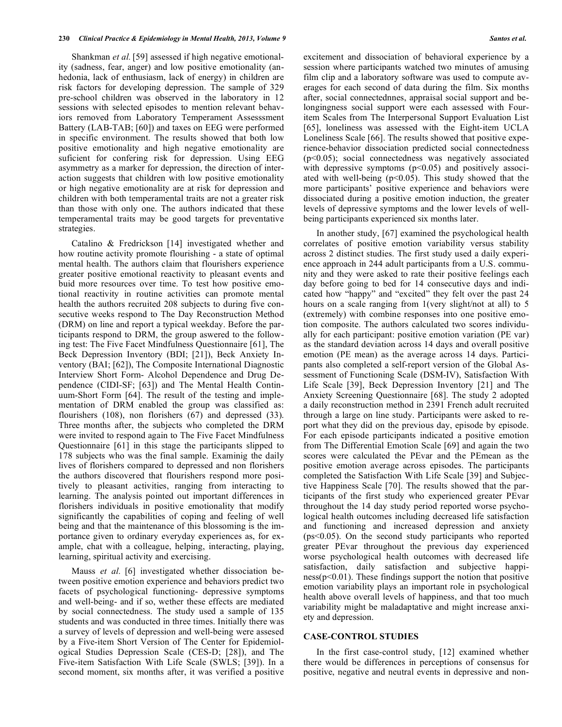Shankman *et al.*[59] assessed if high negative emotionality (sadness, fear, anger) and low positive emotionality (anhedonia, lack of enthusiasm, lack of energy) in children are risk factors for developing depression. The sample of 329 pre-school children was observed in the laboratory in 12 sessions with selected episodes to mention relevant behaviors removed from Laboratory Temperament Assesssment Battery (LAB-TAB; [60]) and taxes on EEG were performed in specific environment. The results showed that both low positive emotionality and high negative emotionality are suficient for confering risk for depression. Using EEG asymmetry as a marker for depression, the direction of interaction suggests that children with low positive emotionality or high negative emotionality are at risk for depression and children with both temperamental traits are not a greater risk than those with only one. The authors indicated that these temperamental traits may be good targets for preventative strategies.

Catalino & Fredrickson [14] investigated whether and how routine activity promote flourishing - a state of optimal mental health. The authors claim that flourishers experience greater positive emotional reactivity to pleasant events and buid more resources over time. To test how positive emotional reactivity in routine activities can promote mental health the authors recruited 208 subjects to during five consecutive weeks respond to The Day Reconstruction Method (DRM) on line and report a typical weekday. Before the participants respond to DRM, the group aswered to the following test: The Five Facet Mindfulness Questionnaire [61], The Beck Depression Inventory (BDI; [21]), Beck Anxiety Inventory (BAI; [62]), The Composite International Diagnostic Interview Short Form- Alcohol Dependence and Drug Dependence (CIDI-SF; [63]) and The Mental Health Continuum-Short Form [64]. The result of the testing and implementation of DRM enabled the group was classified as: flourishers (108), non florishers (67) and depressed (33). Three months after, the subjects who completed the DRM were invited to respond again to The Five Facet Mindfulness Questionnaire [61] in this stage the participants slipped to 178 subjects who was the final sample. Examinig the daily lives of florishers compared to depressed and non florishers the authors discovered that flourishers respond more positively to pleasant activities, ranging from interacting to learning. The analysis pointed out important differences in florishers individuals in positive emotionality that modify significantly the capabilities of coping and feeling of well being and that the maintenance of this blossoming is the importance given to ordinary everyday experiences as, for example, chat with a colleague, helping, interacting, playing, learning, spiritual activity and exercising.

Mauss *et al.* [6] investigated whether dissociation between positive emotion experience and behaviors predict two facets of psychological functioning- depressive symptoms and well-being- and if so, wether these effects are mediated by social connectedness. The study used a sample of 135 students and was conducted in three times. Initially there was a survey of levels of depression and well-being were assesed by a Five-item Short Version of The Center for Epidemiological Studies Depression Scale (CES-D; [28]), and The Five-item Satisfaction With Life Scale (SWLS; [39]). In a second moment, six months after, it was verified a positive excitement and dissociation of behavioral experience by a session where participants watched two minutes of amusing film clip and a laboratory software was used to compute averages for each second of data during the film. Six months after, social connectednnes, appraisal social support and belongingness social support were each assessed with Fouritem Scales from The Interpersonal Support Evaluation List [65], loneliness was assessed with the Eight-item UCLA Loneliness Scale [66]. The results showed that positive experience-behavior dissociation predicted social connectedness (p<0.05); social connectedness was negatively associated with depressive symptoms  $(p<0.05)$  and positively associated with well-being  $(p<0.05)$ . This study showed that the more participants' positive experience and behaviors were dissociated during a positive emotion induction, the greater levels of depressive symptoms and the lower levels of wellbeing participants experienced six months later.

In another study, [67] examined the psychological health correlates of positive emotion variability versus stability across 2 distinct studies. The first study used a daily experience approach in 244 adult participants from a U.S. community and they were asked to rate their positive feelings each day before going to bed for 14 consecutive days and indicated how "happy" and "excited" they felt over the past 24 hours on a scale ranging from 1(very slight/not at all) to 5 (extremely) with combine responses into one positive emotion composite. The authors calculated two scores individually for each participant: positive emotion variation (PE var) as the standard deviation across 14 days and overall positive emotion (PE mean) as the average across 14 days. Participants also completed a self-report version of the Global Assessment of Functioning Scale (DSM-IV), Satisfaction With Life Scale [39], Beck Depression Inventory [21] and The Anxiety Screening Questionnaire [68]. The study 2 adopted a daily reconstruction method in 2391 French adult recruited through a large on line study. Participants were asked to report what they did on the previous day, episode by episode. For each episode participants indicated a positive emotion from The Differential Emotion Scale [69] and again the two scores were calculated the PEvar and the PEmean as the positive emotion average across episodes. The participants completed the Satisfaction With Life Scale [39] and Subjective Happiness Scale [70]. The results showed that the participants of the first study who experienced greater PEvar throughout the 14 day study period reported worse psychological health outcomes including decreased life satisfaction and functioning and increased depression and anxiety (ps<0.05). On the second study participants who reported greater PEvar throughout the previous day experienced worse psychological health outcomes with decreased life satisfaction, daily satisfaction and subjective happi $ness(p<0.01)$ . These findings support the notion that positive emotion variability plays an important role in psychological health above overall levels of happiness, and that too much variability might be maladaptative and might increase anxiety and depression.

### **CASE-CONTROL STUDIES**

In the first case-control study, [12] examined whether there would be differences in perceptions of consensus for positive, negative and neutral events in depressive and non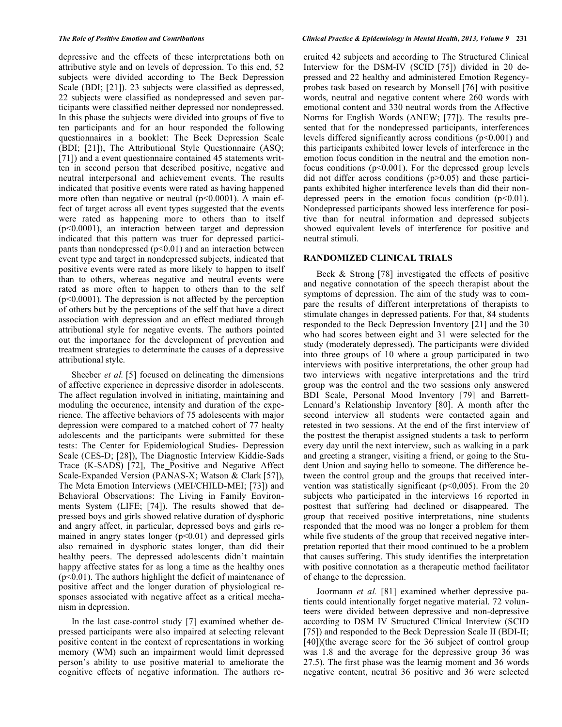depressive and the effects of these interpretations both on attributive style and on levels of depression. To this end, 52 subjects were divided according to The Beck Depression Scale (BDI; [21]). 23 subjects were classified as depressed, 22 subjects were classified as nondepressed and seven participants were classified neither depressed nor nondepressed. In this phase the subjects were divided into groups of five to ten participants and for an hour responded the following questionnaires in a booklet: The Beck Depression Scale (BDI; [21]), The Attributional Style Questionnaire (ASQ; [71]) and a event questionnaire contained 45 statements written in second person that described positive, negative and neutral interpersonal and achievement events. The results indicated that positive events were rated as having happened more often than negative or neutral  $(p<0.0001)$ . A main effect of target across all event types suggested that the events were rated as happening more to others than to itself (p<0.0001), an interaction between target and depression indicated that this pattern was truer for depressed participants than nondepressed  $(p<0.01)$  and an interaction between event type and target in nondepressed subjects, indicated that positive events were rated as more likely to happen to itself than to others, whereas negative and neutral events were rated as more often to happen to others than to the self  $(p<0.0001)$ . The depression is not affected by the perception of others but by the perceptions of the self that have a direct association with depression and an effect mediated through attributional style for negative events. The authors pointed out the importance for the development of prevention and treatment strategies to determinate the causes of a depressive attributional style.

Sheeber *et al.* [5] focused on delineating the dimensions of affective experience in depressive disorder in adolescents. The affect regulation involved in initiating, maintaining and moduling the occurence, intensity and duration of the experience. The affective behaviors of 75 adolescents with major depression were compared to a matched cohort of 77 healty adolescents and the participants were submitted for these tests: The Center for Epidemiological Studies- Depression Scale (CES-D; [28]), The Diagnostic Interview Kiddie-Sads Trace (K-SADS) [72], The Positive and Negative Affect Scale-Expanded Version (PANAS-X; Watson & Clark [57]), The Meta Emotion Interviews (MEI/CHILD-MEI; [73]) and Behavioral Observations: The Living in Family Environments System (LIFE; [74]). The results showed that depressed boys and girls showed relative duration of dysphoric and angry affect, in particular, depressed boys and girls remained in angry states longer  $(p<0.01)$  and depressed girls also remained in dysphoric states longer, than did their healthy peers. The depressed adolescents didn't maintain happy affective states for as long a time as the healthy ones (p<0.01). The authors highlight the deficit of maintenance of positive affect and the longer duration of physiological responses associated with negative affect as a critical mechanism in depression.

In the last case-control study [7] examined whether depressed participants were also impaired at selecting relevant positive content in the context of representations in working memory (WM) such an impairment would limit depressed person's ability to use positive material to ameliorate the cognitive effects of negative information. The authors recruited 42 subjects and according to The Structured Clinical Interview for the DSM-IV (SCID [75]) divided in 20 depressed and 22 healthy and administered Emotion Regencyprobes task based on research by Monsell [76] with positive words, neutral and negative content where 260 words with emotional content and 330 neutral words from the Affective Norms for English Words (ANEW; [77]). The results presented that for the nondepressed participants, interferences levels differed significantly across conditions (p<0.001) and this participants exhibited lower levels of interference in the emotion focus condition in the neutral and the emotion nonfocus conditions  $(p<0.001)$ . For the depressed group levels did not differ across conditions  $(p>0.05)$  and these participants exhibited higher interference levels than did their nondepressed peers in the emotion focus condition  $(p<0.01)$ . Nondepressed participants showed less interference for positive than for neutral information and depressed subjects showed equivalent levels of interference for positive and neutral stimuli.

### **RANDOMIZED CLINICAL TRIALS**

Beck & Strong [78] investigated the effects of positive and negative connotation of the speech therapist about the symptoms of depression. The aim of the study was to compare the results of different interpretations of therapists to stimulate changes in depressed patients. For that, 84 students responded to the Beck Depression Inventory [21] and the 30 who had scores between eight and 31 were selected for the study (moderately depressed). The participants were divided into three groups of 10 where a group participated in two interviews with positive interpretations, the other group had two interviews with negative interpretations and the trird group was the control and the two sessions only answered BDI Scale, Personal Mood Inventory [79] and Barrett-Lennard's Relationship Inventory [80]. A month after the second interview all students were contacted again and retested in two sessions. At the end of the first interview of the posttest the therapist assigned students a task to perform every day until the next interview, such as walking in a park and greeting a stranger, visiting a friend, or going to the Student Union and saying hello to someone. The difference between the control group and the groups that received intervention was statistically significant ( $p<0,005$ ). From the 20 subjects who participated in the interviews 16 reported in posttest that suffering had declined or disappeared. The group that received positive interpretations, nine students responded that the mood was no longer a problem for them while five students of the group that received negative interpretation reported that their mood continued to be a problem that causes suffering. This study identifies the interpretation with positive connotation as a therapeutic method facilitator of change to the depression.

Joormann *et al.* [81] examined whether depressive patients could intentionally forget negative material. 72 volunteers were divided between depressive and non-depressive according to DSM IV Structured Clinical Interview (SCID [75]) and responded to the Beck Depression Scale II (BDI-II; [40])(the average score for the 36 subject of control group was 1.8 and the average for the depressive group 36 was 27.5). The first phase was the learnig moment and 36 words negative content, neutral 36 positive and 36 were selected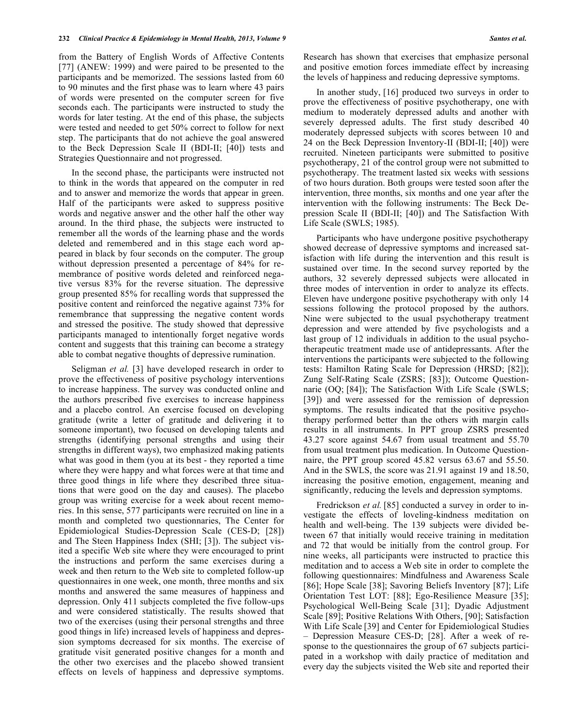from the Battery of English Words of Affective Contents [77] (ANEW: 1999) and were paired to be presented to the participants and be memorized. The sessions lasted from 60 to 90 minutes and the first phase was to learn where 43 pairs of words were presented on the computer screen for five seconds each. The participants were instructed to study the words for later testing. At the end of this phase, the subjects were tested and needed to get 50% correct to follow for next step. The participants that do not achieve the goal answered to the Beck Depression Scale II (BDI-II; [40]) tests and Strategies Questionnaire and not progressed.

In the second phase, the participants were instructed not to think in the words that appeared on the computer in red and to answer and memorize the words that appear in green. Half of the participants were asked to suppress positive words and negative answer and the other half the other way around. In the third phase, the subjects were instructed to remember all the words of the learning phase and the words deleted and remembered and in this stage each word appeared in black by four seconds on the computer. The group without depression presented a percentage of 84% for remembrance of positive words deleted and reinforced negative versus 83% for the reverse situation. The depressive group presented 85% for recalling words that suppressed the positive content and reinforced the negative against 73% for remembrance that suppressing the negative content words and stressed the positive. The study showed that depressive participants managed to intentionally forget negative words content and suggests that this training can become a strategy able to combat negative thoughts of depressive rumination.

Seligman *et al.* [3] have developed research in order to prove the effectiveness of positive psychology interventions to increase happiness. The survey was conducted online and the authors prescribed five exercises to increase happiness and a placebo control. An exercise focused on developing gratitude (write a letter of gratitude and delivering it to someone important), two focused on developing talents and strengths (identifying personal strengths and using their strengths in different ways), two emphasized making patients what was good in them (you at its best - they reported a time where they were happy and what forces were at that time and three good things in life where they described three situations that were good on the day and causes). The placebo group was writing exercise for a week about recent memories. In this sense, 577 participants were recruited on line in a month and completed two questionnaries, The Center for Epidemiological Studies-Depression Scale (CES-D; [28]) and The Steen Happiness Index (SHI; [3]). The subject visited a specific Web site where they were encouraged to print the instructions and perform the same exercises during a week and then return to the Web site to completed follow-up questionnaires in one week, one month, three months and six months and answered the same measures of happiness and depression. Only 411 subjects completed the five follow-ups and were considered statistically. The results showed that two of the exercises (using their personal strengths and three good things in life) increased levels of happiness and depression symptoms decreased for six months. The exercise of gratitude visit generated positive changes for a month and the other two exercises and the placebo showed transient effects on levels of happiness and depressive symptoms.

Research has shown that exercises that emphasize personal and positive emotion forces immediate effect by increasing the levels of happiness and reducing depressive symptoms.

In another study, [16] produced two surveys in order to prove the effectiveness of positive psychotherapy, one with medium to moderately depressed adults and another with severely depressed adults. The first study described 40 moderately depressed subjects with scores between 10 and 24 on the Beck Depression Inventory-II (BDI-II; [40]) were recruited. Nineteen participants were submitted to positive psychotherapy, 21 of the control group were not submitted to psychotherapy. The treatment lasted six weeks with sessions of two hours duration. Both groups were tested soon after the intervention, three months, six months and one year after the intervention with the following instruments: The Beck Depression Scale II (BDI-II; [40]) and The Satisfaction With Life Scale (SWLS; 1985).

Participants who have undergone positive psychotherapy showed decrease of depressive symptoms and increased satisfaction with life during the intervention and this result is sustained over time. In the second survey reported by the authors, 32 severely depressed subjects were allocated in three modes of intervention in order to analyze its effects. Eleven have undergone positive psychotherapy with only 14 sessions following the protocol proposed by the authors. Nine were subjected to the usual psychotherapy treatment depression and were attended by five psychologists and a last group of 12 individuals in addition to the usual psychotherapeutic treatment made use of antidepressants. After the interventions the participants were subjected to the following tests: Hamilton Rating Scale for Depression (HRSD; [82]); Zung Self-Rating Scale (ZSRS; [83]); Outcome Questionnarie (OQ; [84]); The Satisfaction With Life Scale (SWLS; [39]) and were assessed for the remission of depression symptoms. The results indicated that the positive psychotherapy performed better than the others with margin calls results in all instruments. In PPT group ZSRS presented 43.27 score against 54.67 from usual treatment and 55.70 from usual treatment plus medication. In Outcome Questionnaire, the PPT group scored 45.82 versus 63.67 and 55.50. And in the SWLS, the score was 21.91 against 19 and 18.50, increasing the positive emotion, engagement, meaning and significantly, reducing the levels and depression symptoms.

Fredrickson *et al.* [85] conducted a survey in order to investigate the effects of loveling-kindness meditation on health and well-being. The 139 subjects were divided between 67 that initially would receive training in meditation and 72 that would be initially from the control group. For nine weeks, all participants were instructed to practice this meditation and to access a Web site in order to complete the following questionnaires: Mindfulness and Awareness Scale [86]; Hope Scale [38]; Savoring Beliefs Inventory [87]; Life Orientation Test LOT: [88]; Ego-Resilience Measure [35]; Psychological Well-Being Scale [31]; Dyadic Adjustment Scale [89]; Positive Relations With Others, [90]; Satisfaction With Life Scale [39] and Center for Epidemiological Studies – Depression Measure CES-D; [28]. After a week of response to the questionnaires the group of 67 subjects participated in a workshop with daily practice of meditation and every day the subjects visited the Web site and reported their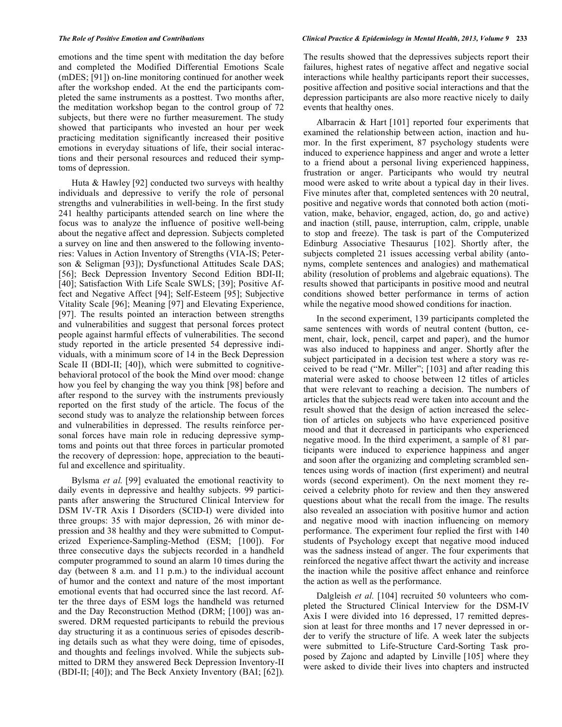emotions and the time spent with meditation the day before and completed the Modified Differential Emotions Scale (mDES; [91]) on-line monitoring continued for another week after the workshop ended. At the end the participants completed the same instruments as a posttest. Two months after, the meditation workshop began to the control group of 72 subjects, but there were no further measurement. The study showed that participants who invested an hour per week practicing meditation significantly increased their positive emotions in everyday situations of life, their social interactions and their personal resources and reduced their symptoms of depression.

Huta & Hawley [92] conducted two surveys with healthy individuals and depressive to verify the role of personal strengths and vulnerabilities in well-being. In the first study 241 healthy participants attended search on line where the focus was to analyze the influence of positive well-being about the negative affect and depression. Subjects completed a survey on line and then answered to the following inventories: Values in Action Inventory of Strengths (VIA-IS; Peterson & Seligman [93]); Dysfunctional Attitudes Scale DAS; [56]; Beck Depression Inventory Second Edition BDI-II; [40]; Satisfaction With Life Scale SWLS; [39]; Positive Affect and Negative Affect [94]; Self-Esteem [95]; Subjective Vitality Scale [96]; Meaning [97] and Elevating Experience, [97]. The results pointed an interaction between strengths and vulnerabilities and suggest that personal forces protect people against harmful effects of vulnerabilities. The second study reported in the article presented 54 depressive individuals, with a minimum score of 14 in the Beck Depression Scale II (BDI-II; [40]), which were submitted to cognitivebehavioral protocol of the book the Mind over mood: change how you feel by changing the way you think [98] before and after respond to the survey with the instruments previously reported on the first study of the article. The focus of the second study was to analyze the relationship between forces and vulnerabilities in depressed. The results reinforce personal forces have main role in reducing depressive symptoms and points out that three forces in particular promoted the recovery of depression: hope, appreciation to the beautiful and excellence and spirituality.

Bylsma *et al.* [99] evaluated the emotional reactivity to daily events in depressive and healthy subjects. 99 participants after answering the Structured Clinical Interview for DSM IV-TR Axis I Disorders (SCID-I) were divided into three groups: 35 with major depression, 26 with minor depression and 38 healthy and they were submitted to Computerized Experience-Sampling-Method (ESM; [100]). For three consecutive days the subjects recorded in a handheld computer programmed to sound an alarm 10 times during the day (between 8 a.m. and 11 p.m.) to the individual account of humor and the context and nature of the most important emotional events that had occurred since the last record. After the three days of ESM logs the handheld was returned and the Day Reconstruction Method (DRM; [100]) was answered. DRM requested participants to rebuild the previous day structuring it as a continuous series of episodes describing details such as what they were doing, time of episodes, and thoughts and feelings involved. While the subjects submitted to DRM they answered Beck Depression Inventory-II (BDI-II; [40]); and The Beck Anxiety Inventory (BAI; [62]).

The results showed that the depressives subjects report their failures, highest rates of negative affect and negative social interactions while healthy participants report their successes, positive affection and positive social interactions and that the depression participants are also more reactive nicely to daily events that healthy ones.

Albarracin & Hart [101] reported four experiments that examined the relationship between action, inaction and humor. In the first experiment, 87 psychology students were induced to experience happiness and anger and wrote a letter to a friend about a personal living experienced happiness, frustration or anger. Participants who would try neutral mood were asked to write about a typical day in their lives. Five minutes after that, completed sentences with 20 neutral, positive and negative words that connoted both action (motivation, make, behavior, engaged, action, do, go and active) and inaction (still, pause, interruption, calm, cripple, unable to stop and freeze). The task is part of the Computerized Edinburg Associative Thesaurus [102]. Shortly after, the subjects completed 21 issues accessing verbal ability (antonyms, complete sentences and analogies) and mathematical ability (resolution of problems and algebraic equations). The results showed that participants in positive mood and neutral conditions showed better performance in terms of action while the negative mood showed conditions for inaction.

In the second experiment, 139 participants completed the same sentences with words of neutral content (button, cement, chair, lock, pencil, carpet and paper), and the humor was also induced to happiness and anger. Shortly after the subject participated in a decision test where a story was received to be read ("Mr. Miller"; [103] and after reading this material were asked to choose between 12 titles of articles that were relevant to reaching a decision. The numbers of articles that the subjects read were taken into account and the result showed that the design of action increased the selection of articles on subjects who have experienced positive mood and that it decreased in participants who experienced negative mood. In the third experiment, a sample of 81 participants were induced to experience happiness and anger and soon after the organizing and completing scrambled sentences using words of inaction (first experiment) and neutral words (second experiment). On the next moment they received a celebrity photo for review and then they answered questions about what the recall from the image. The results also revealed an association with positive humor and action and negative mood with inaction influencing on memory performance. The experiment four replied the first with 140 students of Psychology except that negative mood induced was the sadness instead of anger. The four experiments that reinforced the negative affect thwart the activity and increase the inaction while the positive affect enhance and reinforce the action as well as the performance.

Dalgleish *et al.* [104] recruited 50 volunteers who completed the Structured Clinical Interview for the DSM-IV Axis I were divided into 16 depressed, 17 remitted depression at least for three months and 17 never depressed in order to verify the structure of life. A week later the subjects were submitted to Life-Structure Card-Sorting Task proposed by Zajonc and adapted by Linville [105] where they were asked to divide their lives into chapters and instructed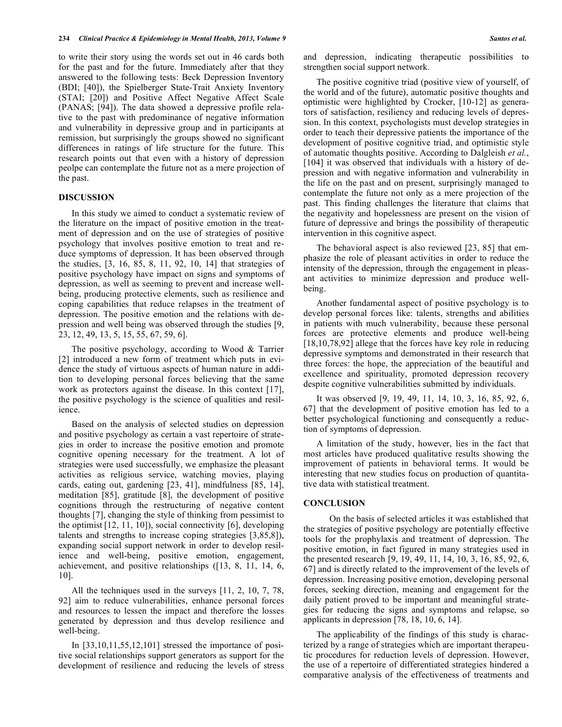to write their story using the words set out in 46 cards both for the past and for the future. Immediately after that they answered to the following tests: Beck Depression Inventory (BDI; [40]), the Spielberger State-Trait Anxiety Inventory (STAI; [20]) and Positive Affect Negative Affect Scale (PANAS; [94]). The data showed a depressive profile relative to the past with predominance of negative information and vulnerability in depressive group and in participants at remission, but surprisingly the groups showed no significant differences in ratings of life structure for the future. This research points out that even with a history of depression peolpe can contemplate the future not as a mere projection of the past.

### **DISCUSSION**

In this study we aimed to conduct a systematic review of the literature on the impact of positive emotion in the treatment of depression and on the use of strategies of positive psychology that involves positive emotion to treat and reduce symptoms of depression. It has been observed through the studies, [3, 16, 85, 8, 11, 92, 10, 14] that strategies of positive psychology have impact on signs and symptoms of depression, as well as seeming to prevent and increase wellbeing, producing protective elements, such as resilience and coping capabilities that reduce relapses in the treatment of depression. The positive emotion and the relations with depression and well being was observed through the studies [9, 23, 12, 49, 13, 5, 15, 55, 67, 59, 6].

The positive psychology, according to Wood & Tarrier [2] introduced a new form of treatment which puts in evidence the study of virtuous aspects of human nature in addition to developing personal forces believing that the same work as protectors against the disease. In this context [17], the positive psychology is the science of qualities and resilience.

Based on the analysis of selected studies on depression and positive psychology as certain a vast repertoire of strategies in order to increase the positive emotion and promote cognitive opening necessary for the treatment. A lot of strategies were used successfully, we emphasize the pleasant activities as religious service, watching movies, playing cards, eating out, gardening [23, 41], mindfulness [85, 14], meditation [85], gratitude [8], the development of positive cognitions through the restructuring of negative content thoughts [7], changing the style of thinking from pessimist to the optimist [12, 11, 10]), social connectivity [6], developing talents and strengths to increase coping strategies [3,85,8]), expanding social support network in order to develop resilience and well-being, positive emotion, engagement, achievement, and positive relationships ([13, 8, 11, 14, 6, 10].

All the techniques used in the surveys [11, 2, 10, 7, 78, 92] aim to reduce vulnerabilities, enhance personal forces and resources to lessen the impact and therefore the losses generated by depression and thus develop resilience and well-being.

In [33,10,11,55,12,101] stressed the importance of positive social relationships support generators as support for the development of resilience and reducing the levels of stress and depression, indicating therapeutic possibilities to strengthen social support network.

The positive cognitive triad (positive view of yourself, of the world and of the future), automatic positive thoughts and optimistic were highlighted by Crocker, [10-12] as generators of satisfaction, resiliency and reducing levels of depression. In this context, psychologists must develop strategies in order to teach their depressive patients the importance of the development of positive cognitive triad, and optimistic style of automatic thoughts positive. According to Dalgleish *et al.*, [104] it was observed that individuals with a history of depression and with negative information and vulnerability in the life on the past and on present, surprisingly managed to contemplate the future not only as a mere projection of the past. This finding challenges the literature that claims that the negativity and hopelessness are present on the vision of future of depressive and brings the possibility of therapeutic intervention in this cognitive aspect.

The behavioral aspect is also reviewed [23, 85] that emphasize the role of pleasant activities in order to reduce the intensity of the depression, through the engagement in pleasant activities to minimize depression and produce wellbeing.

Another fundamental aspect of positive psychology is to develop personal forces like: talents, strengths and abilities in patients with much vulnerability, because these personal forces are protective elements and produce well-being [18,10,78,92] allege that the forces have key role in reducing depressive symptoms and demonstrated in their research that three forces: the hope, the appreciation of the beautiful and excellence and spirituality, promoted depression recovery despite cognitive vulnerabilities submitted by individuals.

It was observed [9, 19, 49, 11, 14, 10, 3, 16, 85, 92, 6, 67] that the development of positive emotion has led to a better psychological functioning and consequently a reduction of symptoms of depression.

A limitation of the study, however, lies in the fact that most articles have produced qualitative results showing the improvement of patients in behavioral terms. It would be interesting that new studies focus on production of quantitative data with statistical treatment.

### **CONCLUSION**

On the basis of selected articles it was established that the strategies of positive psychology are potentially effective tools for the prophylaxis and treatment of depression. The positive emotion, in fact figured in many strategies used in the presented research [9, 19, 49, 11, 14, 10, 3, 16, 85, 92, 6, 67] and is directly related to the improvement of the levels of depression. Increasing positive emotion, developing personal forces, seeking direction, meaning and engagement for the daily patient proved to be important and meaningful strategies for reducing the signs and symptoms and relapse, so applicants in depression [78, 18, 10, 6, 14].

The applicability of the findings of this study is characterized by a range of strategies which are important therapeutic procedures for reduction levels of depression. However, the use of a repertoire of differentiated strategies hindered a comparative analysis of the effectiveness of treatments and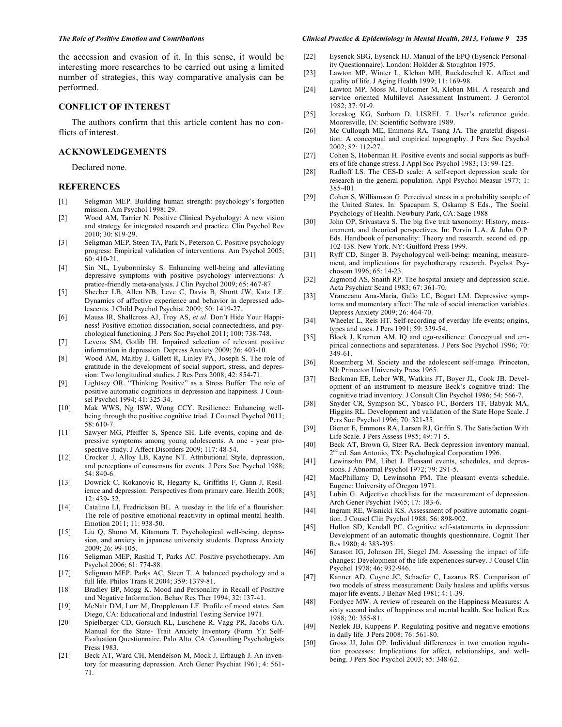the accession and evasion of it. In this sense, it would be interesting more researches to be carried out using a limited number of strategies, this way comparative analysis can be performed.

### **CONFLICT OF INTEREST**

The authors confirm that this article content has no conflicts of interest.

### **ACKNOWLEDGEMENTS**

Declared none.

### **REFERENCES**

- [1] Seligman MEP. Building human strength: psychology's forgotten mission. Am Psychol 1998; 29.
- [2] Wood AM, Tarrier N. Positive Clinical Psychology: A new vision and strategy for integrated research and practice. Clin Psychol Rev 2010; 30: 819-29.
- [3] Seligman MEP, Steen TA, Park N, Peterson C. Positive psychology progress: Empirical validation of interventions. Am Psychol 2005; 60: 410-21.
- [4] Sin NL, Lyubormirsky S. Enhancing well-being and alleviating depressive symptoms with positive psychology interventions: A pratice-friendly meta-analysis. J Clin Psychol 2009; 65: 467-87.
- [5] Sheeber LB, Allen NB, Leve C, Davis B, Shortt JW, Katz LF. Dynamics of affective experience and behavior in depressed adolescents. J Child Psychol Psychiat 2009; 50: 1419-27.
- [6] Mauss IR, Shallcross AJ, Troy AS, *et al*. Don't Hide Your Happiness! Positive emotion dissociation, social connectedness, and psychological functioning. J Pers Soc Psychol 2011; 100: 738-748.
- [7] Levens SM, Gotlib IH. Impaired selection of relevant positive information in depression. Depress Anxiety 2009; 26: 403-10.
- [8] Wood AM, Maltby J, Gillett R, Linley PA, Joseph S. The role of gratitude in the development of social support, stress, and depression: Two longitudinal studies. J Res Pers 2008; 42: 854-71.
- [9] Lightsey OR. "Thinking Positive" as a Stress Buffer: The role of positive automatic cognitions in depression and happiness. J Counsel Psychol 1994; 41: 325-34.
- [10] Mak WWS, Ng ISW, Wong CCY. Resilience: Enhancing wellbeing through the positive cognitive triad. J Counsel Psychol 2011; 58: 610-7.
- [11] Sawyer MG, Pfeiffer S, Spence SH. Life events, coping and depressive symptoms among young adolescents. A one - year prospective study. J Affect Disorders 2009; 117: 48-54.
- [12] Crocker J, Alloy LB, Kayne NT. Attributional Style, depression, and perceptions of consensus for events. J Pers Soc Psychol 1988; 54: 840-6.
- [13] Dowrick C, Kokanovic R, Hegarty K, Griffiths F, Gunn J**.** Resilience and depression: Perspectives from primary care. Health 2008; 12: 439- 52.
- [14] Catalino LI, Fredrickson BL. A tuesday in the life of a flourisher: The role of positive emotional reactivity in optimal mental health. Emotion 2011; 11: 938-50.
- [15] Liu Q, Shono M, Kitamura T. Psychological well-being, depression, and anxiety in japanese university students. Depress Anxiety  $2009 \cdot 26 \cdot 99 - 105$
- [16] Seligman MEP, Rashid T, Parks AC. Positive psychotherapy. Am Psychol 2006; 61: 774-88.
- [17] Seligman MEP, Parks AC, Steen T. A balanced psychology and a full life. Philos Trans R 2004; 359: 1379-81.
- [18] Bradley BP, Mogg K. Mood and Personality in Recall of Positive and Negative Information. Behav Res Ther 1994; 32: 137-41.
- [19] McNair DM, Lorr M, Droppleman LF. Profile of mood states. San Diego, CA: Educational and Industrial Testing Service 1971.
- [20] Spielberger CD, Gorsuch RL, Luschene R, Vagg PR, Jacobs GA. Manual for the State- Trait Anxiety Inventory (Form Y): Self-Evaluation Questionnaire. Palo Alto. CA: Consulting Psychologists Press 1983.
- [21] Beck AT, Ward CH, Mendelson M, Mock J, Erbaugh J. An inventory for measuring depression. Arch Gener Psychiat 1961; 4: 561- 71.

### The Role of Positive Emotion and Contributions Clinical Practice & Epidemiology in Mental Health, 2013, Volume 9 235

- [22] Eysenck SBG, Eysenck HJ. Manual of the EPQ (Eysenck Personality Questionnaire). London: Holdder & Stoughton 1975.
- [23] Lawton MP, Winter L, Kleban MH, Ruckdeschel K. Affect and quality of life. J Aging Health 1999; 11: 169-98.
- [24] Lawton MP, Moss M, Fulcomer M, Kleban MH. A research and service oriented Multilevel Assessment Instrument. J Gerontol 1982; 37: 91-9.
- [25] Joreskog KG, Sorbom D. LISREL 7. User's reference guide. Mooresville, IN: Scientific Software 1989.
- [26] Mc Cullough ME, Emmons RA, Tsang JA. The grateful disposition: A conceptual and empirical topography. J Pers Soc Psychol 2002; 82: 112-27.
- [27] Cohen S, Hoberman H. Positive events and social supports as buffers of life change stress. J Appl Soc Psychol 1983; 13: 99-125.
- [28] Radloff LS. The CES-D scale: A self-report depression scale for research in the general population. Appl Psychol Measur 1977; 1: 385-401.
- [29] Cohen S, Williamson G. Perceived stress in a probability sample of the United States. In: Spacapam S, Oskamp S Eds., The Social Psychology of Health. Newbury Park, CA: Sage 1988
- [30] John OP, Srivastava S. The big five trait taxonomy: History, measurement, and theorical perspectives. In: Pervin L.A. & John O.P. Eds. Handbook of personality: Theory and research. second ed. pp. 102-138. New York. NY: Guilford Press 1999.
- [31] Ryff CD, Singer B. Psychologycal well-being: meaning, measurement, and implications for psychotherapy research. Psychot Psychosom 1996; 65: 14-23.
- [32] Zigmond AS, Snaith RP. The hospital anxiety and depression scale. Acta Psychiatr Scand 1983; 67: 361-70.
- [33] Vranceanu Ana-Maria, Gallo LC, Bogart LM. Depressive symptoms and momentary affect: The role of social interaction variables. Depress Anxiety 2009; 26: 464-70.
- [34] Wheeler L, Reis HT. Self-recording of everday life events; origins, types and uses. J Pers 1991; 59: 339-54.
- [35] Block J, Kremen AM. IQ and ego-resilience: Conceptual and empirical connections and separateness. J Pers Soc Psychol 1996; 70: 349-61.
- [36] Rosemberg M. Society and the adolescent self-image. Princeton, NJ: Princeton University Press 1965.
- [37] Beckman EE, Leber WR, Watkins JT, Boyer JL, Cook JB. Development of an instrument to measure Beck's cognitive triad: The cognitive triad inventory. J Consult Clin Psychol 1986; 54: 566-7.
- [38] Snyder CR, Sympson SC, Ybasco FC, Borders TF, Babyak MA, Higgins RL. Development and validation of the State Hope Scale. J Pers Soc Psychol 1996; 70: 321-35.
- [39] Diener E, Emmons RA, Larsen RJ, Griffin S. The Satisfaction With Life Scale. J Pers Assess 1985; 49: 71-5.
- [40] Beck AT, Brown G, Steer RA. Beck depression inventory manual. 2<sup>nd</sup> ed. San Antonio, TX: Psychological Corporation 1996.
- [41] Lewinsohn PM, Libet J. Pleasant events, schedules, and depressions. J Abnormal Psychol 1972; 79: 291-5.
- [42] MacPhillamy D, Lewinsohn PM. The pleasant events schedule. Eugene: University of Oregon 1971.
- [43] Lubin G. Adjective checklists for the measurement of depression. Arch Gener Psychiat 1965; 17: 183-6.
- [44] Ingram RE, Wisnicki KS. Assessment of positive automatic cognition. J Cousel Clin Psychol 1988; 56: 898-902.
- [45] Hollon SD, Kendall PC. Cognitive self-statements in depression: Development of an automatic thoughts questionnaire. Cognit Ther Res 1980; 4: 383-395.
- [46] Sarason IG, Johnson JH, Siegel JM. Assessing the impact of life changes: Development of the life experiences survey. J Cousel Clin Psychol 1978; 46: 932-946.
- [47] Kanner AD, Coyne JC, Schaefer C, Lazarus RS. Comparison of two models of stress measurement: Daily hasless and uplifts versus major life events. J Behav Med 1981; 4: 1-39.
- [48] Fordyce MW. A review of research on the Happiness Measures: A sixty second index of happiness and mental health. Soc Indicat Res 1988; 20: 355-81.
- [49] Nezlek JB, Kuppens P. Regulating positive and negative emotions in daily life. J Pers 2008; 76: 561-80.
- [50] Gross JJ, John OP. Individual differences in two emotion regulation processes: Implications for affect, relationships, and wellbeing. J Pers Soc Psychol 2003; 85: 348-62.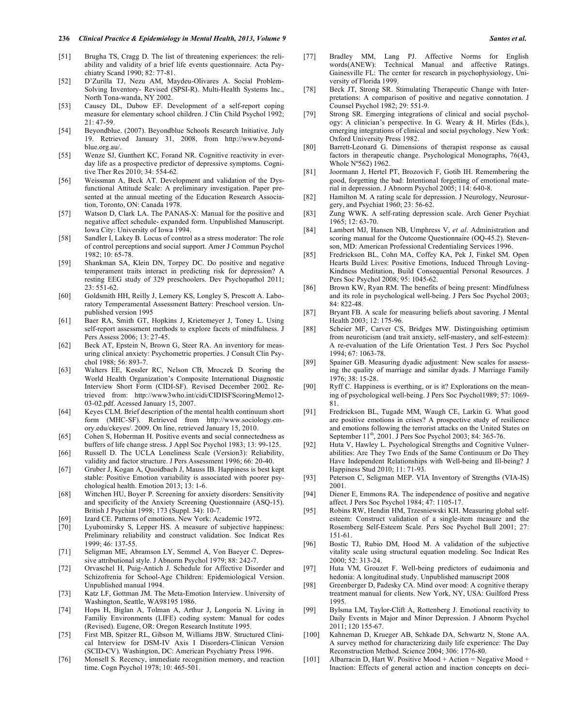### **236** *Clinical Practice & Epidemiology in Mental Health, 2013, Volume 9 Santos et al.*

- [51] Brugha TS, Cragg D. The list of threatening experiences: the reliability and validity of a brief life events questionnaire. Acta Psychiatry Scand 1990; 82: 77-81.
- [52] D'Zurilla TJ, Nezu AM, Maydeu-Olivares A. Social Problem-Solving Inventory- Revised (SPSI-R). Multi-Health Systems Inc., North Tona-wanda, NY 2002.
- [53] Causey DL, Dubow EF. Development of a self-report coping measure for elementary school children. J Clin Child Psychol 1992;  $21: 47-59$
- [54] Beyondblue. (2007). Beyondblue Schools Research Initiative. July 19. Retrieved January 31, 2008, from http://www.beyondblue.org.au/.
- [55] Wenze SJ, Gunthert KC, Forand NR. Cognitive reactivity in everday life as a prospective predictor of depressive symptoms. Cognitive Ther Res 2010; 34: 554-62.
- [56] Weissman A, Beck AT. Development and validation of the Dysfunctional Attitude Scale: A preliminary investigation. Paper presented at the annual meeting of the Education Research Association, Toronto, ON: Canada 1978.
- [57] Watson D, Clark LA. The PANAS-X: Manual for the positive and negative affect schedule- expanded form. Unpublished Manuscript. Iowa City: University of Iowa 1994.
- [58] Sandler I, Lakey B. Locus of control as a stress moderator: The role of control perceptions and social support. Amer J Commun Psychol 1982; 10: 65-78.
- [59] Shankman SA, Klein DN, Torpey DC. Do positive and negative temperament traits interact in predicting risk for depression? A resting EEG study of 329 preschoolers. Dev Psychopathol 2011; 23: 551-62.
- [60] Goldsmith HH, Reilly J, Lemery KS, Longley S, Prescott A. Laboratory Temperamental Assessment Battery: Preschool version. Unpublished version 1995
- [61] Baer RA, Smith GT, Hopkins J, Krietemeyer J, Toney L. Using self-report assessment methods to explore facets of mindfulness. J Pers Assess 2006; 13: 27-45.
- [62] Beck AT, Epstein N, Brown G, Steer RA. An inventory for measuring clinical anxiety: Psychometric properties. J Consult Clin Psychol 1988; 56: 893-7.
- [63] Walters EE, Kessler RC, Nelson CB, Mroczek D. Scoring the World Health Organization's Composite International Diagnostic Interview Short Form (CIDI-SF). Revised December 2002. Retrieved from: http://www3who.int/cidi/CIDISFScoringMemo12- 03-02.pdf. Acessed January 15, 2007.
- [64] Keyes CLM. Brief description of the mental health continuum short form (MHC-SF). Retrieved from http://www.sociology.emory.edu/ckeyes/. 2009. On line, retrieved January 15, 2010.
- [65] Cohen S, Hoberman H. Positive events and social connectedness as buffers of life change stress. J Appl Soc Psychol 1983; 13: 99-125.
- [66] Russell D. The UCLA Loneliness Scale (Version3): Reliability, validity and factor structure. J Pers Assessment 1996; 66: 20-40.
- [67] Gruber J, Kogan A, Quoidbach J, Mauss IB. Happiness is best kept stable: Positive Emotion variability is associated with poorer psychological health. Emotion 2013; 13: 1-6.
- [68] Wittchen HU, Boyer P. Screening for anxiety disorders: Sensitivity and specificity of the Anxiety Screening Questionnaire (ASQ-15). British J Psychiat 1998; 173 (Suppl. 34): 10-7.
- [69] Izard CE. Patterns of emotions. New York: Academic 1972.
- [70] Lyubomirsky S, Lepper HS. A measure of subjective happiness: Preliminary reliability and construct validation. Soc Indicat Res 1999; 46: 137-55.
- [71] Seligman ME, Abramson LY, Semmel A, Von Baeyer C. Depressive attributional style. J Abnorm Psychol 1979; 88: 242-7.
- [72] Orvaschel H, Puig-Antich J. Schedule for Affective Disorder and Schizofrenia for School-Age Children: Epidemiological Version. Unpublished manual 1994.
- [73] Katz LF, Gottman JM. The Meta-Emotion Interview. University of Washington, Seattle, WA98195 1986.
- [74] Hops H, Biglan A, Tolman A, Arthur J, Longoria N. Living in Familiy Environments (LIFE) coding system: Manual for codes (Revised). Eugene, OR: Oregon Research Institute 1995.
- [75] First MB, Spitzer RL, Gibson M, Williams JBW. Structured Clinical Interview for DSM-IV Axis I Disorders-Clinican Version (SCID-CV). Washington, DC: American Psychiatry Press 1996.
- [76] Monsell S. Recency, immediate recognition memory, and reaction time. Cogn Psychol 1978; 10: 465-501.
- [77] Bradley MM, Lang PJ. Affective Norms for English words(ANEW): Technical Manual and affective Ratings. Gainesville FL: The center for research in psychophysiology, University of Florida 1999.
- [78] Beck JT, Strong SR. Stimulating Therapeutic Change with Interpretations: A comparison of positive and negative connotation. J Counsel Psychol 1982; 29: 551-9.
- [79] Strong SR. Emerging integrations of clinical and social psychology: A clinician's perspective. In G. Weary & H. Mirles (Eds.), emerging integrations of clinical and social psychology. New York: Oxford University Press 1982.
- [80] Barrett-Leonard G. Dimensions of therapist response as causal factors in therapeutic change. Psychological Monographs, 76(43, Whole Nº562) 1962.
- [81] Joormann J, Hertel PT, Brozovich F, Gotib IH. Remembering the good, forgetting the bad: Intentional forgetting of emotional material in depression. J Abnorm Psychol 2005; 114: 640-8.
- [82] Hamilton M. A rating scale for depression. J Neurology, Neurosurgery, and Psychiat 1960; 23: 56-62.
- [83] Zung WWK. A self-rating depression scale. Arch Gener Psychiat 1965; 12: 63-70.
- [84] Lambert MJ, Hansen NB, Umphress V, *et al*. Administration and scoring manual for the Outcome Questionnaire (OQ-45.2). Stevenson, MD: American Professional Credentialing Services 1996.
- [85] Fredrickson BL, Cohn MA, Coffey KA, Pek J, Finkel SM. Open Hearts Build Lives: Positive Emotions, Induced Through Loving-Kindness Meditation, Build Consequential Personal Resources. J Pers Soc Psychol 2008; 95: 1045-62.
- [86] Brown KW, Ryan RM. The benefits of being present: Mindfulness and its role in psychological well-being. J Pers Soc Psychol 2003; 84: 822-48.
- [87] Bryant FB. A scale for measuring beliefs about savoring. J Mental Health 2003; 12: 175-96.
- [88] Scheier MF, Carver CS, Bridges MW. Distinguishing optimism from neuroticism (and trait anxiety, self-mastery, and self-esteem): A re-evaluation of the Life Orientation Test. J Pers Soc Psychol 1994; 67: 1063-78.
- [89] Spainer GB. Measuring dyadic adjustment: New scales for assessing the quality of marriage and similar dyads. J Marriage Family 1976; 38: 15-28.
- [90] Ryff C. Happiness is everthing, or is it? Explorations on the meaning of psychological well-being. J Pers Soc Psychol1989; 57: 1069- 81.
- [91] Fredrickson BL, Tugade MM, Waugh CE, Larkin G. What good are positive emotions in crises? A prospective study of resilience and emotions following the terrorist attacks on the United States on September  $11^{th}$ , 2001. J Pers Soc Psychol 2003; 84: 365-76.
- [92] Huta V, Hawley L. Psychological Strengths and Cognitive Vulnerabilities: Are They Two Ends of the Same Continuum or Do They Have Independent Relationships with Well-being and Ill-being? J Happiness Stud 2010; 11: 71-93.
- [93] Peterson C, Seligman MEP. VIA Inventory of Strengths (VIA-IS) 2001.
- [94] Diener E, Emmons RA. The independence of positive and negative affect. J Pers Soc Psychol 1984; 47: 1105-17.
- [95] Robins RW, Hendin HM, Trzesniewski KH. Measuring global selfesteem: Construct validation of a single-item measure and the Rosemberg Self-Esteem Scale. Pers Soc Psychol Bull 2001; 27: 151-61.
- [96] Bostic TJ, Rubio DM, Hood M. A validation of the subjective vitality scale using structural equation modeling. Soc Indicat Res 2000; 52: 313-24.
- [97] Huta VM, Grouzet F. Well-being predictors of eudaimonia and hedonia: A longitudinal study. Unpublished manuscript 2008
- [98] Greenberger D, Padesky CA. Mind over mood: A cognitive therapy treatment manual for clients. New York, NY, USA: Guilford Press 1995.
- [99] Bylsma LM, Taylor-Clift A, Rottenberg J. Emotional reactivity to Daily Events in Major and Minor Depression. J Abnorm Psychol 2011; 120 155-67.
- [100] Kahneman D, Krueger AB, Schkade DA, Schwartz N, Stone AA. A survey method for characterizing daily life experience: The Day Reconstruction Method. Science 2004; 306: 1776-80.
- [101] Albarracin D, Hart W. Positive Mood + Action = Negative Mood + Inaction: Effects of general action and inaction concepts on deci-